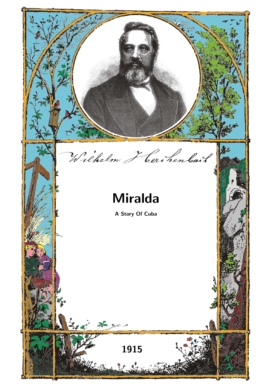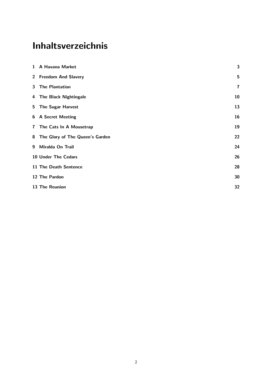# Inhaltsverzeichnis

|                | 1 A Havana Market               | 3                       |
|----------------|---------------------------------|-------------------------|
| $2^{\circ}$    | <b>Freedom And Slavery</b>      | $\sqrt{5}$              |
| 3 <sup>1</sup> | <b>The Plantation</b>           | $\overline{\mathbf{r}}$ |
|                | 4 The Black Nightingale         | 10                      |
| 5              | <b>The Sugar Harvest</b>        | 13                      |
|                | 6 A Secret Meeting              | 16                      |
|                | 7 The Cats In A Mousetrap       | 19                      |
| 8              | The Glory of The Queen's Garden | 22                      |
| 9              | Miralda On Trail                | 24                      |
|                | 10 Under The Cedars             | 26                      |
|                | 11 The Death Sentence           | 28                      |
|                | 12 The Pardon                   | 30                      |
|                | 13 The Reunion                  | 32                      |
|                |                                 |                         |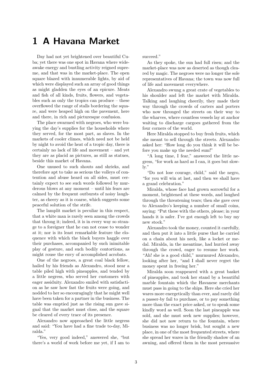#### 1 A Havana Market

<span id="page-2-0"></span>Day had not yet brightened over beautiful Cuba; yet there was one spot in Havana where wideawake energy and bustling activity reigned supreme, and that was in the market-place. The open square blazed with innumerable lights, by aid of which were displayed such an array of good things as might gladden the eyes of an epicure. Meats and fish of all kinds, fruits, flowers, and vegetables such as only the tropics can produce – these overflowed the range of stalls bordering the square, and were heaped high on the pavement, here and there, in rich and picturesque confusion.

The place swarmed with negroes, who were buying the day's supplies for the households where they served, for the most part, as slaves. In the markets of cooler climes, which need not be held by night to avoid the heat of a tropic day, there is certainly no lack of life and movement – and yet they are as placid as pictures, as still as statues, beside this market of Havana.

One unused to such shouts and shrieks, and therefore apt to take as serious the volleys of contention and abuse heard on all sides, must certainly expect to see such words followed by murderous blows at any moment – until his fears are calmed by the frequent outbursts of noisy laughter, as cheery as it is coarse, which suggests some peaceful solution of the strife.

The lamplit market is peculiar in this respect, that a white man is rarely seen among the crowds that throng it; indeed, it is in every way so strange to a foreigner that he can not cease to wonder at it; nor is its least remarkable feature the eloquence with which the black buyers haggle over their purchases, accompanied by such inimitable play of gesture, and such bodily contortions, as might rouse the envy of accomplished acrobats.

One of the negroes, a great coal black fellow, hailed by his friends as Alexandro, stood near a table piled high with pineapples, and tended by a little negress, who served her customers with eager assiduity. Alexandro smiled with satisfaction as he saw how fast the fruits were going, and nodded to her so encouragingly that he might well have been taken for a partner in the business. The table was emptied just as the rising sun gave signal that the market must close, and the square be cleared of every trace of its presence.

Alexandro now approached the little negress and said: "You have had a fine trade to-day, Miralda."

"Yes, very good indeed," answered she, "but there's a world of work before me yet, if I am to succeed."

As they spoke, the sun had full risen; and the market-place was now as deserted as though cleared by magic. The negroes were no longer the sole representatives of Havana; the town was now full of life and movement everywhere.

Alexandro swung a great crate of vegetables to his shoulder and left the market with Miralda. Talking and laughing cheerily, they made their way through the crowds of carters and porters who now thronged the streets on their way to the wharves, where countless vessels lay at anchor waiting to discharge cargoes gathered from the four corners of the world.

Here Miralda stopped to buy fresh fruits, which she meant to sell through the streets. Alexandro asked her: "How long do you think it will be before you make up the needed sum!"

"A long time, I fear," answered the little negress, "for work as hard as I can, it goes but slowly."

"Do not lose courage, child," said the negro, "for you will win at last, and then we shall have a grand celebration."

Miralda, whose face had grown sorrowful for a moment, brightened at these words, and laughed through the threatening tears; then she gave over to Alexandro's keeping a number of small coins, saying: "Put these with the others, please; in your hands it is safer. I've got enough left to buy my new stock."

Alexandro took the money, counted it carefully, and then put it into a little purse that he carried on a chain about his neck, like a locket or medal. Miralda, in the meantime, had hurried away through the crowd, eager to resume her work. "Ah! she is a good child," murmured Alexandro, looking after her, "and I shall never regret the money spent in freeing her."

Miralda soon reappeared with a great basket of pineapples, and took her stand by a beautiful marble fountain which the Havanese merchants must pass in going to the ships. Here she cried her wares more energetically than ever, and rarely did a passer-by fail to purchase, or to pay something more than the exact price asked, or to speak some kindly word as well. Soon the last pineapple was sold, and she must seek new supplies; however, she did not now return to the fountain, where business was no longer brisk, but sought a new place, in one of the most frequented streets, where she spread her wares in the friendly shadow of an awning, and offered them in the most persuasive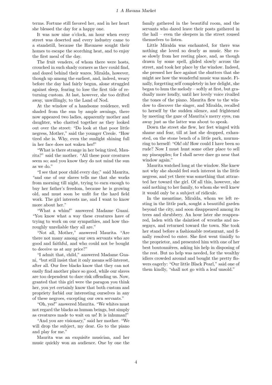terms. Fortune still favored her, and in her heart she blessed the day for a happy one.

It was now nine o'clock, an hour when every street was deserted and every industry came to a standstill, because the Havanese sought their homes to escape the scorching heat, and to enjoy the first meal of the day.

The fruit venders, of whom there were hosts, crouched in such shady corners as thev could find, and dozed behind their wares. Miralda, however, though up among the earliest, and, indeed, weary before the day had fairly begun, alone struggled against sleep, fearing to lose the first tide of returning custom. At last, however, she too drifted away, unwillingly, to the Land of Nod.

At the window of a handsome residence, well shaded from the sun by ample awnings, there now appeared two ladies, apparently mother and daughter, who chatted together as they looked out over the street: "Do look at that poor little negress, Mother," said the younger Creole. "How tired she is. Why, even the sunlight shining full in her face does not waken her!"

"What is there strange in her being tired, Maurita?" said the mother. "All these poor creatures seem so; and you know they do not mind the sun as we do."

"I see that poor child every day," said Maurita, "and one of our slaves tells me that she works from morning till night, trying to earn enough to buy her father's freedom, because he is growing old, and must soon be unfit for the hard field work. The girl interests me, and I want to know more about her."

"What a whim!" answered Madame Guani. "You know what a way these creatures have of trying to work on our sympathies, and how thoroughly unreliable they all are."

"Not all, Mother," answered Maurita. "Are there not many among our own servants who are good and faithful, and who could not be bought to deceive us at any price?"

"I admit that, child," answered Madame Guani, "but still insist that it only means self-interest, after all. Our free blacks know that they can not easily find another place so good, while our slaves are too dependent to dare risk offending us. Now, granted that this girl were the paragon you think her, you yet certainly know that both custom and propriety forbid our interesting ourselves in any of these negroes, excepting our own servants."

"Oh, yes!" answered Maurita. "We whites must not regard the blacks as human beings, but simply as creatures made to wait on us! It is inhuman!"

"And you are visionary," said her mother. "We will drop the subject, my dear. Go to the piano and play for me."

Maurita was an exquisite musician, and her music quickly won an audience. One by one the family gathered in the beautiful room, and the servants who dared leave their posts gathered in the hall – even the sleepers in the street roused themselves to listen.

Little Miralda was enchanted, for there was nothing she loved so dearly as music. She rose slowly from her resting place, and, as though drawn by some spell, glided slowly across the street, and took her place by the window. Indeed, she pressed her face against the shutters that she might see how the wonderful music was made. Finally, forgetting self completely in her delight, she began to hum the melody – softly at first, but gradually more loudly, until her lovely voice rivalled the tones of the piano. Maurita flew to the window to discover the singer, and Miralda, recalled to herself by the sudden silence, and frightened by meeting the gaze of Maurita's merry eyes, ran away just as the latter was about to speak.

Down the street she flew, her feet winged with shame and fear, till at last she dropped, exhausted, on the stone bench of a little park, murmuring to herself: "Oh! oh! How could I have been so rude? Now I must hunt some other place to sell my pineapples; for I shall never dare go near that window again."

Maurita watched long at the window. She knew not why she should feel such interest in the little negress, and yet there was something that attracted her toward the girl. Of all this, however, she said nothing to her family, to whom she well knew it would only be a subject of ridicule.

In the meantime, Miralda, whom we left resting in the little park, sought a beautiful garden beyond the city, and soon disappeared among its trees and shrubbery. An hour later she reappeared, laden with the daintiest of wreaths and nosegays, and returned toward the town. She took her stand before a fashionable restaurant, and finally resolved to enter. She first went timidly to the proprietor, and presented him with one of her best boutonnières, asking his help in disposing of the rest. But no help was needed, for the wealthy idlers crowded around and bought the pretty flowers eagerly: "Our little Black Pearl," said one of them kindly, "shall not go with a leaf unsold."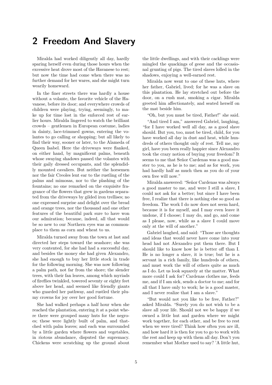# 2 Freedom And Slavery

<span id="page-4-0"></span>Miralda had worked diligently all day, hardly sparing herself even during those hours when the excessive heat drove most of the Havanese to rest; but now the time had come when there was no further demand for her wares, and she might turn wearily homeward.

In the finer streets there was hardly a house without a volante, the favorite vehicle of the Havanese, before its door; and everywhere crowds of children were playing, trying, seemingly, to make up for time lost in the enforced rest of earlier hours. Miralda lingered to watch the brilliant crowds – gentlemen in European costume, ladies in dainty, lace-trimmed gowns, entering the volantes to go calling or shopping; but all likely to find their way, sooner or later, to the Alameda of Queen Isabel. Here the driveways were flanked, on either hand, by magnificent palms, beneath whose swaying shadows passed the volantes with their gaily dressed occupants, and the splendidly mounted cavaliers. But neither the horsemen nor the fair Creoles lent ear to the rustling of the palms and mimosas, nor to the plashing of the fountains; no one remarked on the exquisite fragrance of the flowers that grew in gardens separated from the driveways by gilded iron trellises; no one expressed surprise and delight over the bread and orange trees, nor the thousand and one other features of the beautiful park sure to have won our admiration; because, indeed, all that would be so new to our Northern eyes was as commonplace to them as corn and wheat to us.

Miralda turned away from the town at last and directed her steps toward the seashore; she was very contented, for she had had a successful day, and besides the money she had given Alexandro, she had enough to buy her little stock in trade for the following morning. She was now following a palm path, not far from the shore; the slender trees, with their fan leaves, among which myriads of fireflies twinkled, towered seventy or eighty feet above her head, and seemed like friendly giants who guarded her pathway, and rustled their plumy crowns for joy over her good fortune.

She had walked perhaps a half hour when she reached the plantation, entering it at a point where there were grouped many huts for the negroes; these were lightly built of palm, and thatched with palm leaves; and each was surrounded by a little garden where flowers and vegetables, in riotous abundance, disputed the supremacy. Chickens were scratching up the ground about the little dwellings, and with their cacklings were mingled the quackings of geese and the occasional grunting of pigs. The tired slaves lolled in the shadows, enjoying a well-earned rest.

Miralda now went to one of these huts, where her father, Gabriel, lived; for he was a slave on this plantation. He lay stretched out before the door, on a rush mat, smoking a cigar. Miralda greeted him affectionately, and seated herself on the mat beside him.

"Oh, but you must be tired, Father!" she said.

"And tired I am," answered Gabriel, laughing, "for I have worked well all day, as a good slave should. But you, too, must be tired, child, for you have worked all day in dust and heat, while hundreds of others thought only of rest. Tell me, my girl, have you been really happier since Alexandro took the crazy notion of buying your freedom? It seems to me that Señor Cardenas was a good master to you, as he is to me; and as for work, you had hardly half as much then as you do of your own free will now."

Miralda answered: "Señor Cardenas was always a good master to me, and were I still a slave, I could not ask for a better; but since I have been free, I realize that there is nothing else so good as freedom. The work I do now does not seem hard, because it is for myself, and I may even leave it undone, if I choose; I may do, and go, and come as I please, now, while as a slave I could move only at the will of another."

Gabriel laughed, and said: "Those are thoughts and ideas that would never have come into your head had not Alexandro put them there. But I should like to know how he is better off than I. He is no longer a slave, it is true; but he is a servant in a rich family, like hundreds of others, and must work the will of others quite as much as I do. Let us look squarely at the matter. What more could I ask for? Cardenas clothes me, feeds me, and if I am sick, sends a doctor to me; and for all that I have only to work; he is a good master, and I never realize that I am a slave."

"But would not you like to be free, Father?" asked Miralda. "Surely you do not wish to be a slave all your life. Should not we be happy if we owned a little hut and garden where we might work together, for each other, and be free to rest when we were tired? Think how often you are ill, and how hard it is then for you to go to work with the rest and keep up with them all day. Don't you remember what Mother used to say? 'A little hut,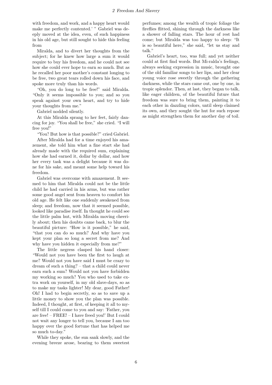with freedom, and work, and a happy heart would make me perfectly contented.' " Gabriel was deeply moved at the idea, even, of such happiness in his old age, but still sought to hide this feeling from

Miralda, and to divert her thoughts from the subject; for he knew how large a sum it would require to buy his freedom, and he could not see how she could ever hope to earn so much. But as he recalled her poor mother's constant longing to be free, two great tears rolled down his face, and spoke more truly than his words.

"Oh, you do long to be free!" said Miralda. "Only it seems impossible to you; and so you speak against your own heart, and try to hide your thoughts from me."

Gabriel nodded silently.

At this Miralda sprang to her feet, fairly dancing for joy. "You shall be free," she cried. "I will free you!"

"You? But how is that possible?" cried Gabriel.

After Miralda had for a time enjoyed his amazement, she told him what a fine start she had already made with the required sum, explaining how she had earned it, dollar by dollar, and how her every task was a delight because it was done for his sake, and meant some help toward his freedom.

Gabriel was overcome with amazement. It seemed to him that Miralda could not be the little child he had carried in his arms, but was rather some good angel sent from heaven to comfort his old age. He felt like one suddenly awakened from sleep; and freedom, now that it seemed possible, looked like paradise itself. In thought he could see the little palm hut, with Miralda moving cheerily about; then his doubts came back, to blur the beautiful picture: "How is it possible," he said, "that you can do so much? And why have you kept your plan so long a secret from me? And why have you hidden it especially from me?"

The little negress clasped his hand closer: "Would not you have been the first to laugh at me? Would not you have said I must be crazy to dream of such a thing? – that a child could never earn such a sum? Would not you have forbidden my working so much? You who used to take extra work on yourself, in my old slave-days, so as to make my tasks lighter! My dear, good Father! Oh! I had to begin secretly, so as to save up a little money to show you the plan was possible. Indeed, I thought, at first, of keeping it all to myself till I could come to you and say: 'Father, you are free! – FREE! – I have freed you!' But I could not wait any longer to tell you, because I am too happy over the good fortune that has helped me so much to-day."

While they spoke, the sun sank slowly, and the evening breeze arose, bearing to them sweetest perfumes; among the wealth of tropic foliage the fireflies flitted, shining through the darkness like a shower of falling stars. The hour of rest had come; but Miralda was too happy to sleep: "It is so beautiful here," she said, "let us stay and talk."

Gabriel's heart, too, was full; and yet neither could at first find words. But Mi-ralda's feelings, always seeking expression in music, brought one of the old familiar songs to her lips, and her clear young voice rose sweetly through the gathering darkness, while the stars came out, one by one, in tropic splendor. Then, at last, they began to talk, like eager children, of the beautiful future that freedom was sure to bring them, painting it to each other in dazzling colors, until sleep claimed its own, and they sought the hut for such repose as might strengthen them for another day of toil.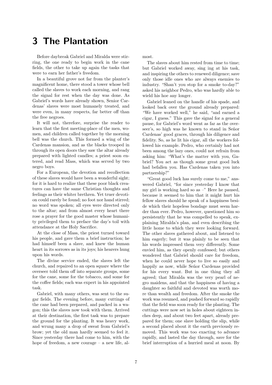# 3 The Plantation

<span id="page-6-0"></span>Before daybreak Gabriel and Miralda were stirring, the one ready to begin work in the cane fields, the other to take up again the tasks that were to earn her father's freedom.

In a beautiful grove not far from the planter's magnificent home, there stood a tower whose bell called the slaves to work each morning, and rang the signal for rest when the day was done. As Gabriel's words have already shown, Senior Cardenas' slaves were most humanely treated, and were even, in many respects, far better off than the free negroes.

It will not, therefore, surprise the reader to learn that the first meeting-place of the men, women, and children called together by the morning bell was the church. This formed a wing of the Cardenas mansion, and as the blacks trooped in through its open doors they saw the altar already prepared with lighted candles; a priest soon entered, and read Mass, which was served by two negro boys.

For a European, the devotion and recollection of these slaves would have been a wonderful sight; for it is hard to realize that these poor black creatures can have the same Christian thoughts and feelings as their whiter brethren. Yet truer devotion could rarely be found; no foot nor hand stirred; no word was spoken; all eyes were directed only to the altar; and from almost every heart there rose a prayer for the good master whose humanity privileged them to preface the day's toil with attendance at the Holy Sacrifice.

At the close of Mass, the priest turned toward his people, and gave them a brief instruction; he had himself been a slave, and knew the human heart in its sorrows as in its joys; his hearers hung upon his words.

The divine service ended, the slaves left the church, and repaired to an open square where the overseer told them off into separate groups, some for the cane, some for the tobacco, and some for the coffee fields; each was expert in his appointed task.

Gabriel, with many others, was sent to the sugar fields. The evening before, many cuttings of the cane had been prepared, and packed in a wagon; this the slaves now took with them. Arrived at their destination, the first task was to prepare the ground for the planting. It was heavy work, and wrung many a drop of sweat from Gabriel's brow; yet the old man hardly seemed to feel it. Since yesterday there had come to him, with the hope of freedom, a new courage – a new life, almost.

The slaves about him rested from time to time; but Gabriel worked away, sing ing at his task, and inspiring the others to renewed diligence; save only those idle ones who are always enemies to industry. "Shan't you stop for a smoke to-day?" asked his neighbor Pedro, who was hardly able to wield his hoe any longer.

Gabriel leaned on the handle of his spade, and looked back over the ground already prepared: "We have worked well," he said, "and earned a cigar, I guess." This gave the signal for a general pause, for Gabriel's word went as far as the overseer's, so high was he known to stand in Señor Cardenas' good graces, through his diligence and fidelity. So, as he lit his cigar, all the workers followed his example. Pedro, who certainly had not been among the lazy ones, could not refrain from asking him: "What's the matter with you, Gabriel? You act as though some great good luck had befallen you. Has Cardenas taken you into partnership?"

"Great good luck has surely come to me," answered Gabriel, "for since yesterday I know that my girl is working hard so as –" Here he paused, because it seemed to him that it might hurt his fellow slaves should he speak of a happiness beside which their hopeless bondage must seem harder than ever. Pedro, however, questioned him so persistently that he was compelled to speak, explaining Miralda's plan, and even describing the little home to which they were looking forward. The other slaves gathered about, and listened to him eagerly; but it was plainly to be seen that his words impressed them very differently. Some envied him, as they openly confessed; but others wondered that Gabriel should care for freedom, when he could never hope to live so easily and happily as now, while Señor Cardenas provided for his every want. But in one thing they all agreed; that Miralda was the very pearl of negro maidens, and that the happiness of having a daughter so faithful and devoted was worth more than wealth and freedom. After the smoke the work was resumed, and pushed forward so rapidly that the field was soon ready for the planting. The cuttings were now set in holes about eighteen inches deep, and about two feet apart, already prepared for them; one slave holding the slip, while a second placed about it the earth previously removed. This work was too exacting to advance rapidly, and lasted the day through, save for the brief interruption of a hurried meal at noon. By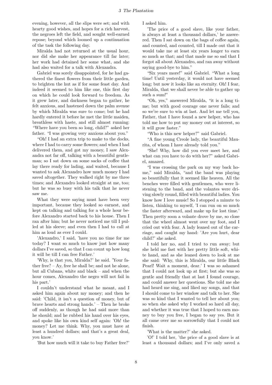evening, however, all the slips were set; and with hearty good wishes, and hopes for a rich harvest, the negroes left the field, and sought well-earned repose; beyond which loomed up a continuation of the task the following day.

Miralda had not returned at the usual hour, nor did she make her appearance till far later; her work had detained her some what, and she had also waited for a talk with Alexandra.

Gabriel was sorely disappointed, for he had gathered the finest flowers from their little garden, to brighten the hut as if for some feast day. And indeed it seemed to him like one, this first day on which he could look forward to freedom. As it grew later, and darkness began to gather, he felt anxious, and hastened down the palm avenue by which Miralda was sure to come; but he had hardly entered it before he met the little maiden, breathless with haste, and still almost running: "Where have you been so long, child?" asked her father. "I was growing very anxious about you."

"Oh! I had an extra trip to make to the docks, where I had to carry some flowers; and when I had delivered them, and got my money, I saw Alexandra not far off, talking with a beautiful gentleman; so I sat down on some sacks of coffee that lay there ready for lading, and waited, because I wanted to ask Alexandro how much money I had saved altogether. They walked right by me three times; and Alexandro looked straight at me, too; but he was so busy with his talk that he never saw me.

What they were saying must have been very important, because they looked so earnest, and kept on talking and talking for a whole hour before Alexandro started back to his house. Then I ran after him; but he never noticed me till I pulled at his sleeve; and even then I had to call at him as loud as ever I could.

'Alexandro,' I said, 'have you no time for me today? I want so much to know just how many dollars I've saved, so that I can count up how long it will be till I can free Father.'

'Why, is that you, Miralda?' he said. 'Your father free?  $- Ay$ , free he shall be; and not he alone, but all Cubans, white and black – and when the hour comes, Alexandro the negro will not fail in his part.'

I couldn't understand what he meant, and I asked him again about my money; and then he said: 'Child, it isn't a question of money, but of brave hearts and strong hands.' – Then he broke off suddenly, as though he had said more than he should; and he rubbed his hand over his eyes, and spoke like his own kind self again: 'Oh! the money? Let me think. Why, you must have at least a hundred dollars; and that's a great deal, you know.'

'But how much will it take to buy Father free?'

I asked him.

'The price of a good slave, like your father, is always at least a thousand dollars,' he answered. Then I sat down on the bags of coffee again, and counted, and counted, till I made out that it would take me at least six years longer to earn so much as that; and that made me so sad that I forgot all about Alexandro, and ran away without saying good-bye to him."

"Six years more!" said Gabriel. "What a long time! Until yesterday, it would not have seemed long; but now it looks like an eternity. Oh! I fear, Miralda, that we shall never be able to gather up such a sum!"

"Oh, yes," answered Miralda, "it is a long time; but with good courage one never fails; and so we're sure to win at last. And let me tell you, Father, that I have found a new helper, who has told me how to put my money out at interest, so it will grow faster."

"Who is this new helper?" said Gabriel.

"A fine young Creole lady, the beautiful Maurita, of whom I have already told you."

"She! Why, how did you ever meet her, and what can you have to do with her?" asked Gabriel, amazed.

"I was crossing the park on my way back home," said Miralda, "and the band was playing so beautifully that it seemed like heaven. All the benches were filled with gentlemen, who were listening to the band, and the volantes were driving slowly round, filled with beautiful ladies. You know how I love music! So I stopped a minute to listen, thinking to myself, 'I can run on so much the faster afterward, and make up for lost time.' Then pretty soon a volante drove by me, so close that the wheel almost went over my foot, and I cried out with fear. A lady leaned out of the carriage, and caught my hand: 'Are you hurt, dear child?' she asked.

I told her no, and I tried to run away; but she held me fast with her pretty little soft, white hand, and as she leaned down to look at me she said: 'Why, this is Miralda, our little Black Pearl! Wait a moment, dear.' I was so ashamed that I could not look up at first; but she was so gentle and friendly that at last I found courage, and could answer her questions. She told me she had heard me sing, and liked my songs, and that I should come to her window and talk to her. She was so kind that I wanted to tell her about you; so when she asked why I worked so hard all day, and whether it was true that I hoped to earn money to buy you free, I began to say yes. But it all came over me so sorrowfully that I could not finish.

'What is the matter?' she asked.

'O!' I told her, 'the price of a good slave is at least a thousand dollars; and I've only saved a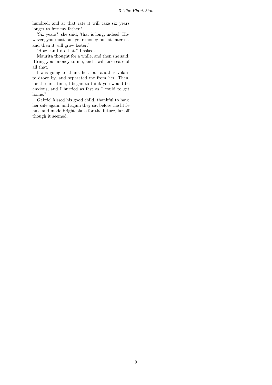hundred; and at that rate it will take six years longer to free my father.'

'Six years?' she said; 'that is long, indeed. However, you must put your money out at interest, and then it will grow faster.'

'How can I do that?' I asked.

Maurita thought for a while, and then she said: 'Bring your money to me, and I will take care of all that.'

I was going to thank her, but another volante drove by, and separated me from her. Then, for the first time, I began to think you would be anxious, and I hurried as fast as I could to get home."

Gabriel kissed his good child, thankful to have her safe again; and again they sat before the little hut, and made bright plans for the future, far off though it seemed.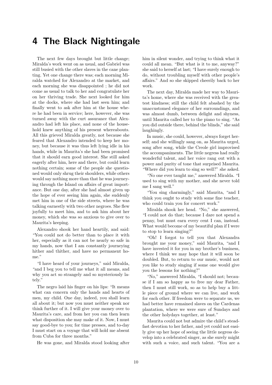# 4 The Black Nightingale

<span id="page-9-0"></span>The next few days brought but little change; Miralda's work went on as usual, and Gabriel was still busied with the other slaves in the cane planting. Yet one change there was; each morning Miralda watched for Alexandro at the market, and each morning she was disappointed ; he did not come as usual to talk to her and congratulate her on her thriving trade. She next looked for him at the docks, where she had last seen him; and finally went to ask after him at the house where he had been in service; here, however, she was turned away with the curt assurance that Alexandro had left his place, and none of the household knew anything of his present whereabouts. All this grieved Miralda greatly, not because she feared that Alexandro intended to keep her money, but because it was thus left lying idle in his hands, while in Maurita's she had been promised that it should earn good interest. She still asked eagerly after him, here and there, but could learn nothing certain; some of the people she questioned would only shrug their shoulders, while others would say nothing more than that he was journeying through the Island on affairs of great importance. But one day, after she had almost given up the hope of ever seeing him again, she suddenly met him in one of the side streets, where he was talking earnestly with two other negroes. She flew joyfully to meet him, and to ask him about her money, which she was so anxious to give over to Maurita's keeping.

Alexandro shook her hand heartily, and said: "You could not do better than to place it with her, especially as it can not be nearly so safe in my hands, now that I am constantly journeying hither and thither, and have no permanent home."

"I have heard of your journeys," said Miralda, "and I beg you to tell me what it all means, and why you act so strangely and so mysteriously lately."

The negro laid his finger on his lips: "It means what can concern only the hands and hearts of men, my child. One day, indeed, you shall learn all about it; but now you must neither speak nor think further of it. I will give your money over to Maurita's care, and from her you can then learn what disposition she may make of it. Now, I must say good-bye to you; for time presses, and to-day I must start on a voyage that will hold me absent from Cuba for three months."

He was gone, and Miralda stood looking after

him in silent wonder, and trying to think what it could all mean. "But what is it to me, anyway?" she said to herself at last; "I have surely enough to do, without troubling myself with other people's affairs." And so she skipped cheerily back to her work.

The next day, Miralda made her way to Maurita's home, where she was received with the greatest kindness; still the child felt abashed by the unaccustomed elegance of her surroundings, and was almost dumb, between delight and shyness, until Maurita called her to the piano to sing. "As you did outside there, behind the blinds," she said laughingly.

In music, she could, however, always forget herself; and she willingly sang on, as Maurita urged, song after song, while the Creole girl improvised the accompaniments. The little negress had really wonderful talent, and her voice rang out with a power and purity of tone that surprised Maurita. "Where did you learn to sing so well?" she asked.

"No one ever taught me," answered Miralda. "I used to sing with my mother, and she never told me I sang well."

"You sing charmingly," said Maurita, "and I think you ought to study with some fine teacher, who could train you for concert work."

Miralda shook her head. "No," she answered, "I could not do that; because I dare not spend a penny, but must earn every cent I can, instead. What would become of my beautiful plan if I were to stop to learn singing?"

"Oh! I forgot to tell you that Alexandra brought me your money," said Maurita, "and I have invested it for you in my brother's business, where I think we may hope that it will soon be doubled. But, to return to our music, would not you like to study singing if some one would give you the lessons for nothing?"

"No," answered Miralda, "I should not; because if I am so happy as to free my dear Father, then I must still work, so as to help buy a little piece of ground where we can live, and work for each other. If freedom were to separate us, we had better have remained slaves on the Cardenas plantation, where we were sure of Sundays and the other holydays together, at least."

Maurita could not but admire the child's steadfast devotion to her father, and yet could not easily give up her hope of seeing the little negress develop into a celebrated singer, as she surely might with such a voice, and such talent. "You are a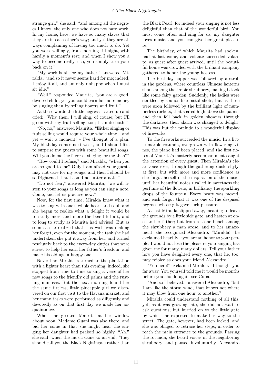strange girl," she said, "and among all the negroes I know, the only one who does not hate work. In my home, here, we have so many slaves that they are in each other's way; and yet they are always complaining of having too much to do. Yet you work willingly, from morning till night, with hardly a moment's rest; and when I show you a way to become really rich, you simply turn your back on it."

"My work is all for my father," answered Miralda, "and so it never seems hard for me; indeed, I enjoy it all, and am only unhappy when I must sit idle."

"Well," responded Maurita, "you are a good, devoted child; yet you could earn far more money by singing than by selling flowers and fruit."

At these words the little negress started up and cried: "Why then, I will sing, of course; but I'll go on with my fruit selling, too; I can do both."

"No, no," answered Maurita. "Either singing or fruit selling would require your whole time – and yet – wait a moment! – I've thought of a plan. My birthday comes next week, and I should like to surprise my guests with some beautiful songs. Will you do me the favor of singing for me then?"

"How could I refuse," said Miralda, "when you are so good to me? Only I am afraid your guests may not care for my songs, and then I should be so frightened that I could not utter a note."

"Do not fear," answered Maurita, "we will listen to your songs as long as you can sing a note. Come, and let us practise now."

Now, for the first time, Miralda knew what it was to sing with one's whole heart and soul; and she began to realize what a delight it would be to study more and more the beautiful art, and to long to study as Maurita had advised. But as soon as she realized that this wish was making her forget, even for the moment, the task she had undertaken, she put it away from her, and turned resolutely back to the every-day duties that were surest to help her earn her father's freedom, and make his old age a happy one.

Never had Miralda returned to the plantation with a lighter heart than this evening; indeed, she stopped from time to time to sing a verse of her new songs to the friendly old palms and the rustling mimosas. But the next morning found her the same tireless, little pineapple girl we discovered on our first visit to the Havana market, and her many tasks were performed as diligently and devotedly as on that first day we made her acquaintance.

When she greeted Maurita at her window about noon, Madame Guani was also there, and bid her come in that she might hear the singing her daughter had praised so highly. "Ah," she said, when the music came to an end, "they should call you the Black Nightingale rather than the Black Pearl, for indeed your singing is not less delightful than that of the wonderful bird. You must come often and sing for us; my daughter loves music, and you can give her great pleasure."

The birthday, of which Maurita had spoken, had at last come, and volante succeeded volante, as guest after guest arrived, until the beautiful home was crowded with the brilliant company gathered to honor the young hostess.

The birthday supper was followed by a stroll in the gardens, where countless Chinese lanterns shone among the tropic shrubbery, making it look like some fairy garden. Suddenly, the ladies were startled by sounds like pistol shots; but as these were soon followed by the brilliant light of numberless rockets, that soared high above the palms, and then fell back in golden showers through the darkness, their alarm was changed to delight. This was but the prelude to a wonderful display of fireworks.

To the fireworks succeeded the music. In a little marble rotunda, overgrown with flowering vines, the piano had been placed, and the first notes of Maurita's masterly accompaniment caught the attention of every guest. Then Miralda's clear voice rose, through the gathering dusk; shyly, at first, but with more and more confidence as she forgot herself in the inspiration of the music, until her beautiful notes rivalled in sweetness the perfume of the flowers, in brilliancy the sparkling drops of the fountain. Every heart was moved, and each forgot that it was one of the despised negroes whose gift gave such pleasure.

At last Miralda slipped away, meaning to leave the grounds by a little side gate, and hasten at once to her father; but from a stone bench among the shrubbery a man arose, and to her amazement, she recognized Alexandro. "Miralda!" he exclaimed heartily, "you are an honor to your people; I would not lose the pleasure your singing has given me for many, many dollars. Tell your father how you have delighted every one, that he, too, may rejoice as does your friend Alexandro."

"You here!" exclaimed Miralda. "I thought you far away. You yourself told me it would be months before you should again see Cuba."

"And so I believed," answered Alexandro, "but I am like the storm wind, that knows not where it may blow from one hour to another."

Miralda could understand nothing of all this, yet, as it was growing late, she did not wait to ask questions, but hurried on to the little gate by which she expected to make her way to the street. The gate, however, had been locked, and she was obliged to retrace her steps, in order to reach the main entrance to the grounds. Passing the rotunda, she heard voices in the neighboring shrubbery, and paused involuntarily. Alexandro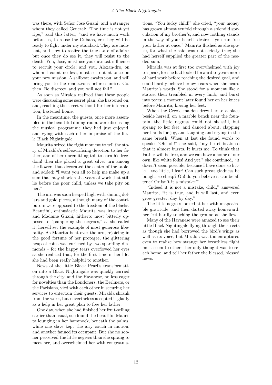#### 4 The Black Nightingale

was there, with Señor José Guani, and a stranger whom they called General: "The time is not yet ripe," said this latter, "and we have much work before us, to rouse the Cubans, ere they will be ready to fight under my standard. They are indolent, and slow to realize the true state of affairs; but once they do see it, they will resist to the death. You, José, must use your utmost influence to recruit your circle; and you, Alexan-dro, on whom I count no less, must set out at once on your new mission. A sailboat awaits you, and will bring you to the rendezvous before sunrise. Go, then. Be discreet, and you will not fail."

As soon as Miralda realized that these people were discussing some secret plan, she hastened on, and, reaching the street without further interruption, hastened home.

In the meantime, the guests, once more assembled in the beautiful dining-room, were discussing the musical programme they had just enjoyed, and vying with each other in praise of the little Black Nightingale.

Maurita seized the right moment to tell the story of Miralda's self-sacrificing devotion to her father, and of her unremitting toil to earn his freedom! then she placed a great silver urn among the flowers that decorated the center of the table, and added: "I want you all to help me make up a sum that may shorten the years of work that still lie before the poor child, unless we take pity on her."

The urn was soon heaped high with shining dollars and gold pieces, although many of the contributors were opposed to the freedom of the blacks. Beautiful, enthusiastic Maurita was irresistible; and Madame Guani, hitherto most bitterly opposed to "pampering the negroes," as she called it, herself set the example of most generous liberality. As Maurita bent over the urn, rejoicing in the good fortune of her protegee, the glittering heap of coins was enriched by two sparkling diamonds – for the happy tears overflowed her eyes as she realized that, for the first time in her life, she had been really helpful to another.

News of the little Black Pearl's transformation into a Black Nightingale was quickly carried through the city, and the Havanese, no less eager for novelties than the Londoners, the Berliners, or the Parisians, vied with each other in securing her services to entertain their guests. Miralda shrank from the work, but nevertheless accepted it gladly as a help in her great plan to free her father.

One day, when she had finished her fruit-selling earlier than usual, sue found the beautiful Maurita lounging in her hammock, beneath the palms, while one slave kept the airy couch in motion, and another fanned its occupant. But she no sooner perceived the little negress than she sprang to meet her, and overwhelmed her with congratulations. "You lucky child!" she cried, "your money has grown almost tenfold through a splendid speculation of my brother's; and now nothing stands in the way of your heart's desire – you can free your father at once." Maurita flushed as she spoke, for what she said was not strictly true; she had herself supplied the greater part of the needed sum.

Miralda was at first too overwhelmed with joy to speak, for she had looked forward to years more of hard work before reaching the desired goal, and could hardly believe her own ears when she heard Maurita's words. She stood for a moment like a statue, then trembled in every limb, and burst into tears; a moment later found her on her knees before Maurita, kissing her feet.

When the Creole maiden drew her to a place beside herself, on a marble bench near the fountain, the little negress could not sit still, but sprang to her feet, and danced about, clapping her hands for joy, and laughing and crying in the same breath. When at last she found words to speak: "Oh! oh!" she said, "my heart beats so that it almost bursts. It hurts me. To think that Father will be free, and we can have a home of our own, like white folks! And yet," she continued, "it doesn't seem possible; because I have done so little – too little, I fear! Can such great gladness be bought so cheap? Oh! do you believe it can be all true? Or isn't it a mistake?"

"Indeed it is not a mistake, child," answered Maurita, "it is true, and it will last, and even grow greater, day by day."

The little negress looked at her with unspeakable gratitude, and then darted away homeward, her feet hardly touching the ground as she flew.

Many of the Havanese were amazed to see their little Black Nightingale flying through the streets as though she had borrowed the bird's wings as well as its voice, but Miralda was too enraptured even to realize how strange her breathless flight must seem to others; her only thought was to reach home, and tell her father the blessed, blessed news.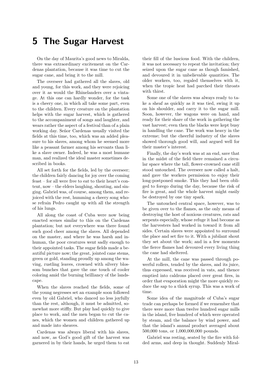## 5 The Sugar Harvest

<span id="page-12-0"></span>On the day of Maurita's good news to Miralda, there was extraordinary excitement on the Cardenas plantation, because it was time to cut the sugar cane, and bring it to the mill.

The overseer had gathered all the slaves, old and young, for this work, and they were rejoicing over it as would the Rhinelanders over a vintage. At this one can hardly wonder, for the task is a cheery one, in which all take some part, even to the children. Every creature on the plantation helps with the sugar harvest, which is gathered to the accompaniment of songs and laughter, and wears rather the aspect of a festival than of a plain working day. Señor Cardenas usually visited the fields at this time, too, which was an added pleasure to his slaves, among whom he seemed more like a peasant farmer among his servants than like a slave owner. Indeed, he was a most humane man, and realized the ideal master sometimes described in books.

All set forth for the fields, led by the overseer; the children fairly dancing for joy over the coming feast – for all were free to eat to their heart's content, now – the elders laughing, shouting, and singing. Gabriel was, of course, among them, and rejoiced with the rest, humming a cheery song whose refrain Pedro caught up with all the strength of his lungs.

All along the coast of Cuba were now being enacted scenes similar to this on the Cardenas plantation; but not everywhere was there found such good cheer among the slaves. All depended on the master, and where he was harsh and inhuman, the poor creatures went sadly enough to their appointed tasks. The sugar fields made a beautiful picture now; the great, jointed cane stems, green or gold, standing proudly up among the waving, rustling leaves, crowned with silvery blossom bunches that gave the one touch of cooler coloring amid the burning brilliancy of the landscape.

When the slaves reached the fields, some of the young negresses set an example soon followed even by old Gabriel, who danced no less joyfully than the rest, although, it must be admitted, somewhat more stiffly. But play had quickly to give place to work, and the men began to cut the canes, which the women and children gathered up and made into sheaves.

Cardenas was always liberal with his slaves, and now, as God's good gift of the harvest was garnered in by their hands, he urged them to eat their fill of the luscious food. With the children, it was not necessary to repeat the invitation; they seized upon the sugar cane as though famished, and devoured it in unbelievable quantities. The older workers, too, regaled themselves with it, when the tropic heat had parched their throats with thirst.

Some one of the slaves was always ready to take a sheaf as quickly as it was tied, swing it up on his shoulder, and carry it to the sugar mill. Soon, however, the wagons were on hand, and ready for their share of the work in gathering the vast harvest; even then the blacks were kept busy in handling the cane. The work was heavy in the extreme; but the cheerful industry of the slaves showed thorough good will, and argued well for their master's interest.

Finally, the day's work was at an end, save that in the midst of the field there remained a circular space where the tall, flower-crowned cane still stood untouched. The overseer now called a halt, and gave the workers permission to enjoy their long-postponed smoke. This they had been obliged to forego during the day, because the risk of fire is great, and the whole harvest might easily be destroyed by one tiny spark.

The untouched central space, however, was to be given over to the flames, as the only means of destroying the host of noxious creatures, rats and serpents especially, whose refuge it had become as the harvesters had worked in toward it from all sides. Certain slaves were appointed to surround the place and set fire to it. With a jubilant shout they set about the work; and in a few moments the fierce flames had devoured every living thing the cane had sheltered.

At the mill, the cane was passed through powerful rollers, tended by the slaves, and its juice, thus expressed, was received in vats, and thence emptied into caldrons placed over great fires, in order that evaporation might the more quickly reduce the sap to a thick syrup. This was a work of time.

Some idea of the magnitude of Cuba's sugar trade can perhaps be formed if we remember that there were more than twelve hundred sugar mills in the island, five hundred of which were operated by steam, and the balance by wind power, and that the island's annual product averaged about 500,000 tons, or 1,000,000,000 pounds.

Gabriel was resting, seated by the fire with folded arms, and deep in thought. Suddenly Miral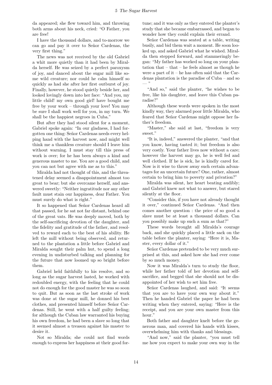da appeared; she flew toward him, and throwing both arms about his neck, cried: "O Father, you are free!

I have the thousand dollars, and to-morrow we can go and pay it over to Señor Cardenas, the very first thing."

The news was not received by the old Gabriel a whit more quietly than it had been by Miralda herself. He was seized by a perfect paroxysm of joy, and danced about the sugar mill like some wild creature; nor could he calm himself so quickly as had she after her first outburst of joy. Finally, however, he stood quietly beside her, and looked lovingly down into her face: "And you, my little child! my own good girl! have bought me free by your work – through your love! You may be sure I shall work well for you, in my turn. We shall be the happiest negroes in Cuba."

But after they had stood silent for a moment, Gabriel spoke again: "In our gladness, I had forgotten one thing: Señor Cardenas needs every helping hand with the harvest now, and might well think me a thankless creature should I leave him without warning. I must stay till this press of work is over; for he has been always a kind and generous master to me. You are a good child, and you can not but agree with me as to this."

Miralda had not thought of this, and the threatened delay seemed a disappointment almost too great to bear; but she overcame herself, and answered sweetly: "Neither ingratitude nor any other fault must stain our happiness, dear Father. You must surely do what is right."

It so happened that Señor Cardenas heard all that passed, for he sat not far distant, behind one of the great vats. He was deeply moved, both by the self-sacrificing devotion of the daughter, and the fidelity and gratitude of the father, and resolved to reward each to the best of his ability. He left the mill without being observed, and returned to the plantation a little before Gabriel and Miralda sought their palm hut, to spend a long evening in undisturbed talking and planning for the future that now loomed up so bright before them.

Gabriel held faithfully to his resolve, and so long as the sugar harvest lasted, he worked with redoubled energy, with the feeling that he could not do enough for the good master he was so soon to quit. But as soon as the last stroke of work was done at the sugar mill, he donned his best clothes, and presented himself before Señor Cardenas. Still, he went with a half guilty feeling; for although the Cuban law warranted his buying his own freedom, he had been a slave so long that it seemed almost a treason against his master to desire it.

Not so Miralda; she could not find words enough to express her happiness at their good fortune; and it was only as they entered the planter's study that she became embarrassed, and began to wonder how they could explain their errand.

Señor Cardenas was seated at a table, writing busily, and bid them wait a moment. He soon looked up, and asked Gabriel what he wished. Miralda then stepped forward, and stammeringly began: "My father has worked so long on your plantation that – that – he feels almost as though he were a part of it – he has often said that the Cardenas plantation is the paradise of Cuba – and so  $-$  "

"And so," said the planter, "he wishes to be free, like his daughter, and leave this Cuban paradise?"

Although these words were spoken in the most kindly way, they alarmed poor little Miralda, who feared that Señor Cardenas might oppose her father's freedom.

"Master," she said at last, "freedom is very sweet."

"It is, indeed," answered the planter, "and that you know, having tasted it; but freedom is also very costly. Your father lives now without a care; however the harvest may go, he is well fed and well clothed. If he is sick, he is kindly cared for. Now is it wise to throw away such certain advantages for an uncertain future? One, rather, almost certain to bring him to poverty and privation?"

Miralda was silent, her heart beating audibly; and Gabriel knew not what to answer, but stared silently at the floor.

"Consider this, if you have not already thought it over," continued Señor Cardenas. "And then comes another question : the price of so good a slave must be at least a thousand dollars. Can you possibly make up such a sum as that?"

These words brought all Miralda's courage back, and she quickly placed a little sack on the table before the planter, saying: "Here it is, Master, every dollar of it."

Señor Cardenas pretended to be very much surprised at this, and asked how she had ever come by so much money.

Now it was Miralda's turn to study the floor, while her father told of her devotion and selfsacrifice, and begged that she should not be disappointed of her wish to set him free.

Señor Cardenas laughed, and said: "It seems that you are to have your own way about it." Then he handed Gabriel the paper he had been writing when they entered, saying: "Here is the receipt, and you are your own master from this hour."

Both father and daughter knelt before the generous man, and covered his hands with kisses, overwhelming him with thanks and blessings.

"And now," said the planter, "you must tell me how you expect to make your own way in the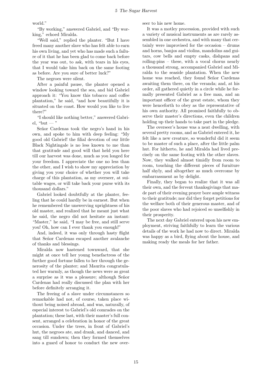world."

"By working," answered Gabriel, and "By working," echoed Miralda.

"Well said," replied the planter. "But I have freed many another slave who has felt able to earn his own living, and yet who has made such a failure of it that he has been glad to come back before the year was out, to ask, with tears in his eyes, that I would take him back on the same footing as before. Are you sure of better luck?"

The negroes were silent.

After a painful pause, the planter opened a window looking toward the sea, and bid Gabriel approach it: "You know this tobacco and coffee plantation," he said, "and how beautifully it is situated on the coast. How would you like to live there?"

"I should like nothing better," answered Gabriel, "but — "

Señor Cardenas took the negro's hand in his own, and spoke to him with deep feeling: "My good old Gabriel! the filial devotion of our little Black Nightingale is no less known to me than that gratitude and good will that held you here till our harvest was done, much as you longed for your freedom. I appreciate the one no less than the other, and I wish to show my appreciation by giving you your choice of whether you will take charge of this plantation, as my overseer, at suitable wages, or will take back your purse with its thousand dollars."

Gabriel looked doubtfully at the planter, feeling that he could hardly be in earnest. But when he remembered the unswerving uprightness of his old master, and realized that he meant just what he said, the negro did not hesitate an instant: "Master," he said, "I may be free, and still serve you! Oh, how can I ever thank you enough!"

And, indeed, it was only through hasty flight that Señor Cardenas escaped another avalanche of thanks and blessings.

Miralda now hastened townward, that she might at once tell her young benefactress of the further good fortune fallen to her through the generosity of the planter; and Maurita congratulated her warmly, as though the news were as great a surprise as it was a pleasure; although Señor Cardenas had really discussed the plan with her before definitely arranging it.

The freeing of a slave under circumstances so remarkable had not, of course, taken place without being noised abroad, and was, naturally, of especial interest to Gabriel's old comrades on the plantation; these last, with their master's full consent, arranged a celebration in honor of the great occasion. Under the trees, in front of Gabriel's hut, the negroes ate, and drank, and danced, and sang till sundown; then they formed themselves into a guard of honor to conduct the new overseer to his new home.

It was a motley procession, provided with such a variety of musical instruments as are rarely assembled in one orchestra, and with many that certainly were improvised for the occasion – drums and horns, banjos and violins, mandolins and guitars, cow bells and empty casks, dishpans and rolling-pins – these, with a vocal chorus nearly a thousand strong, accompanied Gabriel and Miralda to the seaside plantation. When the new home was reached, they found Señor Cardenas awaiting them there, on the veranda; and, at his order, all gathered quietly in a circle while he formally presented Gabriel as a free man, and an important officer of the great estate, whom they were henceforth to obey as the representative of his own authority. All promised faithfully to observe their master's directions, even the children holding up their hands to take part in the pledge.

The overseer's house was a neat dwelling, with several pretty rooms, and as Gabriel entered it, he felt like a new creature, so wonderful did it seem to be master of such a place, after the little palm hut. For hitherto, he and Miralda had lived precisely on the same footing with the other slaves. Now, they walked almost timidly from room to room, touching the different pieces of furniture half shyly, and altogether as much overcome by embarrassment as by delight.

Finally, they began to realize that it was all their own, and the fervent thanksgivings that made part of their evening prayer bore ample witness to their gratitude; nor did they forget petitions for the welfare both of their generous master, and of the poor slaves who had rejoiced so unselfishly in their prosperity.

The next day Gabriel entered upon his new employment, striving faithfully to learn the various details of the work he had now to direct. Miralda was happy as a bird, flying about the house, and making ready the meals for her father.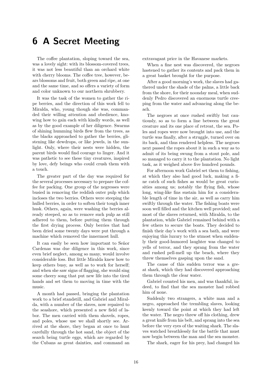#### 6 A Secret Meeting

<span id="page-15-0"></span>The coffee plantation, sloping toward the sea, was a lovely sight: with its blossom-covered trees, it was not less beautiful than an orchard white with cherry blooms. The coffee tree, however, bears blossoms and fruit, both green and ripe, at one and the same time, and so offers a variety of form and color unknown to our northern shrubbery.

It was the task of the women to gather the ripe berries, and the direction of this work fell to Miralda, who, young though she was, commanded their willing attention and obedience, knowing how to gain each with kindly words, as well as by the good example of her diligence. Swarms of shining humming birds flew from the trees, as the blacks approached to gather the berries, glistening like dewdrops, or like jewels, in the sunlight. Only, where their nests were hidden, the parent birds would find courage to linger. And it was pathetic to see these tiny creatures, inspired by love, defy beings who could crush them with a touch.

The greater part of the day was required for the several processes necessary to prepare the coffee for packing. One group of the negresses were busied in removing the reddish outer pulp which incloses the two berries. Others were steeping the hulled berries, in order to soften their tough inner husk. Others, again, were washing the berries already steeped, so as to remove such pulp as still adhered to them, before putting them through the first drying process. Only berries that had been dried some twenty days were put through a machine which removed the innermost hull.

It can easily be seen how important to Señor Cardenas was due diligence in this work, since even brief neglect, among so many, would involve considerable loss. But little Miralda knew how to keep others busy, as well as to work for herself; and when she saw signs of flagging, she would sing some cheery song that put new life into the tired hands and set them to moving in time with the music.

A month had passed, bringing the plantation work to a brief standstill, and Gabriel and Miralda, with a number of the slaves, now repaired to the seashore, which presented a new field of labor. The men carried with them shovels, ropes, and poles, whose use we shall shortly see. Arrived at the shore, they began at once to hunt carefully through the hot sand, the object of the search being turtle eggs, which are regarded by the Cubans as great dainties, and command an extravagant price in the Havanese markets.

When a fine nest was discovered, the negroes hastened to gather its contents and pack them in a great basket brought for the purpose.

After a good morning's work, the slaves had gathered under the shade of the palms, a little back from the shore, for their noonday meal, when suddenly Pedro discovered an enormous turtle creeping from the water and advancing along the beach.

The negroes at once rushed swiftly but cautiously, so as to form a line between the great creature and its one place of retreat, the sea. Poles and ropes were now brought into use, and the turtle was finally, after a struggle, turned over on its back, and thus rendered helpless. The negroes next passed the ropes about it in such a way as to admit of its being swung from a stout pole, and so managed to carry it to the plantation. No light task, as it weighed above five hundred pounds.

For afternoon work Gabriel set them to fishing, at which they also had good luck, making a fine catch of such fishes as would be great curiosities among us; notably the flying fish, whose long, wing-like fins sustain him for a considerable length of time in the air, as well as carry him swiftly through the water. The fishing boats were soon well filled and the kitchen well provided; and most of the slaves returned, with Miralda, to the plantation, while Gabriel remained behind with a few others to secure the boats. They decided to finish their day's work with a sea bath, and were enjoying this luxury to the utmost when suddenly their good-humored laughter was changed to yells of terror, and they sprang from the water and rushed pell-mell up the beach, where they threw themselves gasping upon the sand.

The cause of this sudden terror was a great shark, which they had discovered approaching them through the clear water.

Gabriel counted his men, and was thankful, indeed, to find that the sea monster had robbed him of none.

Suddenly two strangers, a white man and a negro, approached the trembling slaves, looking keenly toward the point at which they had left the water. The negro threw off his clothing, drew a great knife from his belt, and sprang into the sea before the very eyes of the waiting shark. The slaves watched breathlessly for the battle that must now begin between the man and the sea monster.

The shark, eager for his prey, had changed his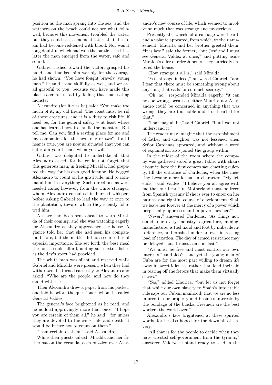position as the man sprang into the sea, and the watchers on the beach could not see what followed, because this movement troubled the water; but they could see, a moment later, that the foam had become reddened with blood. Nor was it long doubtful which had won the battle, as a little later the man emerged from the water, safe and sound.

Gabriel rushed toward the victor, grasped his hand, and thanked him warmly for the courage he had shown. "You have fought bravely, young man," he said, "and skilfully as well, and we are all grateful to you, because you have made this place safer for us all by killing that man-eating monster."

Alexandro (for it was he) said: "You make too much of it, my old friend. The coast must be rid of these creatures, and it is a duty to risk life, if need be, for the general safety – at least where one has learned how to handle the monsters. But tell me. Can you find a resting place for me and my companion for the next day or two? If all I hear is true, you are now so situated that you can entertain your friends when you will."

Gabriel was delighted to undertake all that Alexandro asked; for he could not forget that this generous man, in freeing Miralda, had prepared the way for his own good fortune. He begged Alexandro to count on his gratitude, and to command him in everything. Such directions as were needed came, however, from the white stranger, whom Alexandro consulted in hurried whispers before asking Gabriel to lead the way at once to the plantation, toward which they silently followed him.

A slave had been sent ahead to warn Miralda of their coming, and she was watching eagerly for Alexandro as they approached the house. A glance told her that she had seen his companion before, but the matter did not seem to her of especial importance. She set forth the best meal the house could afford, adding such extra dishes as the day's sport had provided.

The white man was silent and reserved while Gabriel and Miralda were present; when they had withdrawn, he turned earnestly to Alexandro and asked: "Who are the people, and how do they stand with us?"

Then Alexandro drew a paper from his pocket, and laid it before the questioner, whom he called General Valdez.

The general's face brightened as he read, and he nodded approvingly more than once: "I hope you are certain of them all," he said, "for unless they are devoted to the cause, life and death, it would be better not to count on them."

"I am certain of them," said Alexandro.

While their guests talked, Miralda and her father sat on the veranda, each puzzled over Alexandro's new course of life, which seemed to involve so much that was strange and mysterious.

Presently the wheels of a carriage were heard, and a volante appeared, from which, to their amazement, Maurita and her brother greeted them: "It is late," said the former, "but José and I must see General Valdez at once," and putting aside Miralda's offer of refreshments, they hurriedly entered the house.

"How strange it all is," said Miralda.

"Yes, strange indeed," answered Gabriel, "and I fear that there must be something wrong about anything that calls for so much secrecy."

"Oh, no," responded Miralda eagerly, "it can not be wrong, because neither Maurita nor Alexandro could be concerned in anything that was wrong; they are too noble and true-hearted for that."

"That may all be," said Gabriel, "but I can not understand it."

The reader may imagine that the astonishment of father and daughter was not lessened when Señor Cardenas appeared, and without a word of explanation also joined the group within.

In the midst of the room where the company was gathered stood a great table, with chairs about it; here the first comers sat, chatting quietly, till the entrance of Cardenas, when the meeting became more formal in character. "My friends," said Valdez, "I believe you all agree with me that our beautiful Motherland must be freed from Spanish tyranny if she is ever to enter on her natural and rightful course of development. Shall we leave her forever at the mercy of a power which perpetually oppresses and impoverishes her?"

"Never," answered Cardenas. "As things now stand, our every industry, agriculture, mining, manufacture, is tied hand and foot by imbecile interference, and crushed under an ever-increasing load of taxation. The day of armed resistance may be delayed, but it must come at last."

"We must be free and must control our own interests," said José; "and yet the young men of Cuba are for the most part willing to dream life away in sweet idleness, rather than lend their aid in tearing off the fetters that make them virtually slaves."

"Yes," added Maurita, "but let us not forget that while our own slavery to Spain's intolerable rule saps our Cuban manhood, that we are no less injured in our property and business interests by the bondage of the blacks. Freemen are the best workers the world over."

Alexandro's face brightened at these spirited words, for he also hoped for the downfall of slavery.

"All that is for the people to decide when they have wrested self-government from the tyrants," answered Valdez. "I stand ready to lead in the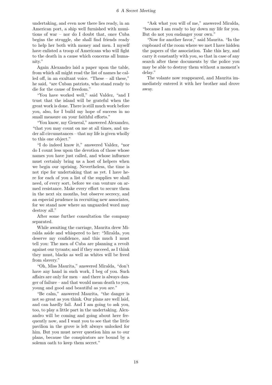undertaking, and even now there lies ready, in an American port, a ship well furnished with munitions of war – nor do I doubt that, once Cuba begins the struggle, she shall find friends ready to help her both with money and men. I myself have enlisted a troop of Americans who will fight to the death in a cause which concerns all humanity."

Again Alexandro laid a paper upon the table, from which all might read the list of names he called off, in an exultant voice. "These – all these," he said, "are Cuban patriots, who stand ready to die for the cause of freedom."

"You have worked well," said Valdez, "and I trust that the island will be grateful when the great work is done. There is still much work before you, also, for I build my hope of success in no small measure on your faithful efforts."

"You know, my General," answered Alexandro, "that you may count on me at all times, and under all circumstances – that my life is given wholly to this one object."

"I do indeed know it," answered Valdez, "nor do I count less upon the devotion of those whose names you have just called, and whose influence must certainly bring us a host of helpers when we begin our uprising. Nevertheless, the time is not ripe for undertaking that as yet. I have here for each of you a list of the supplies we shall need, of every sort, before we can venture on armed resistance. Make every effort to secure them in the next six months, but observe secrecy, and an especial prudence in recruiting new associates, for we stand now where an unguarded word may destroy all."

After some further consultation the company separated.

While awaiting the carriage, Maurita drew Miralda aside and whispered to her: "Miralda, you deserve my confidence, and this much I must tell you: The men of Cuba are planning a revolt against our tyrants; and if they succeed, as I think they must, blacks as well as whites will be freed from slavery."

"Oh, Miss Maurita," answered Miralda, "don't have any hand in such work, I beg of you. Such affairs are only for men – and there is always danger of failure – and that would mean death to you, young and good and beautiful as you are."

"Be calm," answered Maurita, "the danger is not so great as you think. Our plans are well laid, and can hardly fail. And I am going to ask you, too, to play a little part in the undertaking. Alexandro will be coming and going about here frequently now, and I want you to see that the little pavilion in the grove is left always unlocked for him. But you must never question him as to our plans, because the conspirators are bound by a solemn oath to keep them secret."

"Ask what you will of me," answered Miralda, "because I am ready to lay down my life for you. But do not you endanger your own."

"Now for another favor," said Maurita. "In the cupboard of the room where we met I have hidden the papers of the association. Take this key, and carry it constantly with you, so that in case of any search after these documents by the police you may be able to destroy them without a moment's delay."

The volante now reappeared, and Maurita immediately entered it with her brother and drove away.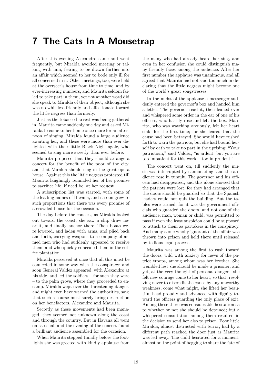#### 7 The Cats In A Mousetrap

<span id="page-18-0"></span>After this evening Alexandro came and went frequently, but Miralda avoided meeting or talking with him, fearing to be drawn further into an affair which seemed to her to bode only ill for all concerned in it. Other meetings, too, were held at the overseer's house from time to time, and by ever-increasing numbers, and Maurita seldom failed to take part in them, yet not another word did she speak to Miralda of their object, although she was no whit less friendly and affectionate toward the little negress than formerly.

Just as the tobacco harvest was being gathered in, Maurita came suddenly one day and asked Miralda to come to her home once more for an afternoon of singing. Miralda found a large audience awaiting her, and these were more than ever delighted with their little Black Nightingale, who seemed to sing more sweetly than ever before.

Maurita proposed that they should arrange a concert for the benefit of the poor of the city, and that Miralda should sing in the great opera house. Against this the little negress protested till Maurita laughingly reminded her of her promise to sacrifice life, if need be, at her request.

A subscription list was started, with some of the leading names of Havana, and it soon grew to such proportions that there was every promise of a crowded house for the occasion.

The day before the concert, as Miralda looked out toward the coast, she saw a ship draw near it, and finally anchor there. Then boats were lowered, and laden with arms, and plied back and forth, carrying weapons to a company of armed men who had suddenly appeared to receive them, and who quickly concealed them in the coffee plantation.

Miralda perceived at once that all this must be connected in some way with the conspiracy; and soon General Valdez appeared, with Alexandro at his side, and led the soldiers – for such they were – to the palm grove, where they proceeded to encamp. Miralda wept over the threatening danger, and might even have warned the authorities, save that such a course must surely bring destruction on her benefactors, Alexandro and Maurita.

Secretly as these movements had been managed, they seemed not unknown along the coast and through the country. But in Havana all went on as usual, and the evening of the concert found a brilliant audience assembled for the occasion.

When Maurita stepped timidly before the footlights she was greeted with kindly applause from the many who had already heard her sing, and even in her confusion she could distinguish many friendly faces among the audience. After her first number the applause was unanimous, and all agreed that Maurita had not said too much in declaring that the little negress might become one of the world's great songstresses.

In the midst of the applause a messenger suddenly entered the governor's box and handed him a letter. The governor read it, then leaned over and whispered some order in the ear of one of his officers, who hastily rose and left the box. Maurita, who was watching anxiously, felt her heart sink, for the first time; for she feared that the cause had been betrayed. She would have rushed forth to warn the patriots, but she had bound herself by oath to take no part in the uprising: "Your patriotism," said Valdez, "is ardent, but you are too impatient for this work – too imprudent."

The concert went on, till suddenly the music was interrupted by cannonading, and the audience rose in tumult. The governor and his officers had disappeared, and this alone showed that the patriots were lost, for they had arranged that the doors should be guarded so that the Spanish leaders could not quit the building. But the tables were turned, for it was the government officials who guarded the doors, and not one of the audience, man, woman or child, was permitted to pass if even the least suspicion could be supposed to attach to them as partakers in the conspiracy. And many a one wholly ignorant of the affair was thrown into prison and held there until released by tedious legal process.

Maurita was among the first to rush toward the doors, wild with anxiety for news of the patriot troops, among whom was her brother. She trembled lest she should be made a prisoner; and yet, at the very thought of personal dangers, she felt new courage come to her heart; so that, resolving never to discredit the cause by any unworthy weakness, come what might, she lifted her beautiful head proudly and advanced with dignity toward the officers guarding the only place of exit. Among these there was considerable hesitation as to whether or not she should be detained; but a whispered consultation among them resulted in the decision to send her also to prison. Poor little Miralda, almost distracted with terror, had by a different path reached the door just as Maurita was led away. The child hesitated for a moment, almost on the point of begging to share the fate of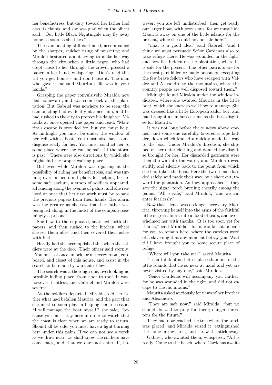her benefactress, but duty toward her father had also its claims, and she was glad when the officer said: "Our little Black Nightingale may fly away home as soon as she likes."

The cannonading still continued, accompanied by the sharper, quicker firing of musketry; and Miralda hesitated about trying to make her way through the city when a little negro, who had crept close to her through the crowd, pressed a paper in her hand, whispering: "Don't read this till you get home – and don't lose it. The man who gave it me said Maurita's life was in your hands."

Grasping the paper convulsively, Miralda now fled homeward, and was soon back at the plantation. But Gabriel was nowhere to be seen; the cannonading had evidently alarmed him, and he had rushed to the city to protect his daughter. Miralda at once opened the paper and read: "Maurita's escape is provided for, but you must help. At midnight you must be under the window of her cell with a boat. You must also have some disguise ready for her. You must conduct her to some place where she can be safe till the storm is past." There were also directions by which she might find the proper waiting place.

But even while Miralda was rejoicing at the possibility of aiding her benefactress, and was turning over in her mind plans for helping her to some safe asylum, a troop of soldiers appeared, advancing along the avenue of palms, and she realized at once that her first work must be to save the precious papers from their hands. Her alarm was the greater as she saw that her father was being led along, in the midst of the company, seemingly a prisoner.

She flew to the cupboard, snatched forth the papers, and then rushed to the kitchen, where she set them afire, and then covered their ashes with fuel.

Hardly had she accomplished this when the soldiers were at the door. Their officer said sternly: "You must at once unlock for me every room, cupboard, and closet of this house, and assist in the search to be made by warrant of law."

The search was a thorough one, overlooking no possible hiding place, from floor to roof. It was, however, fruitless, and Gabriel and Miralda were set free.

As the soldiers departed, Miralda told her father what had befallen Maurita, and the part that she must so soon play in helping her to escape. "I will manage the boat myself," she said, "because you must stay here in order to watch that the coast is clear when we are ready to return. Should all be safe, you must have a light burning here under this palm. If we can not see a torch as we draw near, we shall know the soldiers have come back, and that we dare not enter. If, however, you are left undisturbed, then get ready our larger boat, with provisions; for we must hide Maurita away on one of the little islands for the present, while she could not be safe here."

"That is a good idea," said Gabriel, "and I think we must persuade Señor Cardenas also to take refuge there. He was wounded in the fight, and now lies hidden on the plantation, where he is safe for the present. The other patriots are for the most part killed or made prisoners, excepting the few brave fellows who have escaped with Valdez and Alexandro to the mountains, where the country people are well disposed toward them."

Midnight found Miralda under the window indicated, where she awaited Maurita in the little boat, which she knew so well how to manage. She was dressed like a little European sailor boy, and had brought a similar costume as the best disguise for Maurita.

It was not long before the window above opened, and some one carefully lowered a rope ladder, down which Mau-rita quickly made her way to the boat. Under Miralda's direction, she slipped off her outer clothing and donned the disguise brought for her. Her discarded garments were then thrown into the water, and Miralda rowed swiftly and silently back to the point from which she had taken the boat. Here the two friends landed safely, and made their way, by a short cut, toward the plantation. As they approached it they saw the signal torch burning cheerily among the palms. "All is safe," said Miralda, "and we can enter fearlessly."

Now that silence was no longer necessary, Maurita, throwing herself into the arms of the faithful little negress, burst into a flood of tears, and overwhelmed her with thanks. "It is too soon yet for thanks," said Miralda, "for it would not be safe for you to remain here, where the careless word of a slave might at any moment betray you. Wait till I have brought you to some secure place of refuge."

"Where will you take me?" asked Maurita.

"I can think of no better place than one of the little islands that lie so near at hand and yet are never visited by any one," said Miralda.

"Señor Cardenas will accompany you thither, for he was wounded in the fight, and did not escape to the mountains."

Maurita asked anxiously for news of her brother and Alexandro.

"They are safe now," said Miralda, "but we should do well to pray for them; danger threatens for the future."

They had now reached the tree where the torch was placed, and Miralda seized it, extinguished the flame in the earth, and threw the stick away.

Gabriel, who awaited them, whispered: "All is ready. Come to the beach, where Cardenas awaits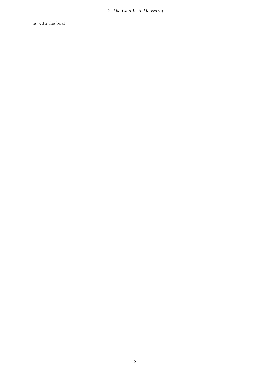7 The Cats In A Mousetrap

us with the boat."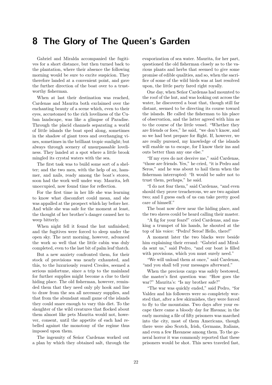#### 8 The Glory of The Queen's Garden

<span id="page-21-0"></span>Gabriel and Miralda accompanied the fugitives for a short distance, but then turned back to the plantation, where their absence the following morning would be sure to excite suspicion. They therefore landed at a convenient point, and gave the further direction of the boat over to a trustworthy fisherman.

When at last their destination was reached, Cardenas and Maurita both exclaimed over the enchanting beauty of a scene which, even to their eyes, accustomed to the rich loveliness of the Cuban landscape, was like a glimpse of Paradise. Through the placid channels separating a world of little islands the boat sped along, sometimes in the shadow of giant trees and overhanging vines, sometimes in the brilliant tropic sunlight; but always through scenery of unsurpassable loveliness. They landed at a spot where a little brook mingled its crystal waters with the sea.

The first task was to build some sort of a shelter; and the two men, with the help of ax, hammer, and nails, ready among the boat's stores, soon had the work well under way. Maurita, left unoccupied, now found time for reflection.

For the first time in her life she was learning to know what discomfort could mean, and she was appalled at the prospect which lay before her. And while she was safe for the moment at least, the thought of her brother's danger caused her to weep bitterly.

When night fell it found the hut unfinished: and the fugitives were forced to sleep under the open sky. The next morning, however, advanced the work so well that the little cabin was duly completed, even to the last bit of palm leaf thatch.

But a new anxiety confronted them, for their stock of provisions was nearly exhausted, and this, to the luxuriously reared Creoles, seemed a serious misfortune, since a trip to the mainland for further supplies might become a clue to their hiding place. The old fisherman, however, reminded them that they need only ply hook and line to draw from the sea all necessary supplies, and that from the abundant small game of the islands they could snare enough to vary this diet. To the slaughter of the wild creatures that flocked about them almost like pets Maurita would not, however, consent, until the appetite of each had rebelled against the monotony of the regime thus imposed upon them.

The ingenuity of Señor Cardenas worked out a plan by which they obtained salt, through the evaporization of sea water. Maurita, for her part, questioned the old fisherman closely as to the various plants and herbs that seemed to give some promise of edible qualities, and so, when the sacrifice of some of the wild birds was at last resolved upon, the little party fared right royally.

One day, when Señor Cardenas had mounted to the roof of the hut, and was looking out across the water, he discovered a boat that, though still far distant, seemed to be directing its course toward the islands. He called the fisherman to his place of observation, and the latter agreed with him as to the course of the little vessel. "Whether they are friends or foes," he said, "we don't know, and so we had best prepare for flight. If, however, we are really pursued, my knowledge of the islands will enable us to escape, for I know their ins and outs better than any one else."

"If my eyes do not deceive me," said Cardenas, "those are friends. Yes," he cried, "it is Pedro and Seros," and he was about to hail them when the fisherman interrupted: "It would be safer not to trust them, perhaps," he said.

"I do not fear them," said Cardenas, "and even should they prove treacherous, we are two against two; and I guess each of us can take pretty good care of himself."

The boat now drew near the hiding place, and the two slaves could be heard calling their master.

"A fig for your fears!" cried Cardenas, and making a trumpet of his hands, he shouted at the top of his voice: "Pedro! Seros! Hello, there!"

A moment later the two blacks were beside him explaining their errand: "Gabriel and Miralda sent us," said Pedro, "and our boat is filled with provisions, which you must surely need."

"We will unload them at once," said Cardenas, "and you shall tell your messages afterward."

When the precious cargo was safely bestowed, the master's first question was: "How goes the war?" Maurita's: "Is my brother safe?"

"The war was quickly ended," said Pedro, "for Valdez and his followers were so completely worsted that, after a few skirmishes, they were forced to fly to the mountains. Two days after your escape there came a bloody day for Havana; in the early morning a file of fifty prisoners was marched into the city, most of them Americans, though there were also Scotch, Irish, Germans, Italians, and even a few Havanese among them. To the general horror it was commonly reported that these prisoners would be shot. This news traveled fast,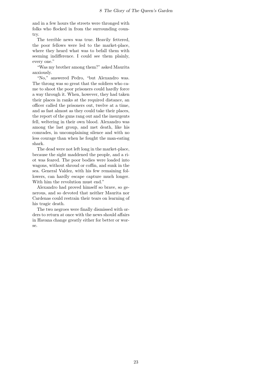and in a few hours the streets were thronged with folks who flocked in from the surrounding country.

The terrible news was true. Heavily fettered, the poor fellows were led to the market-place, where they heard what was to befall them with seeming indifference. I could see them plainly, every one."

"Was my brother among them?" asked Maurita anxiously.

"No," answered Pedro, "but Alexandro was. The throng was so great that the soldiers who came to shoot the poor prisoners could hardly force a way through it. When, however, they had taken their places in ranks at the required distance, an officer called the prisoners out, twelve at a time, and as fast almost as they could take their places, the report of the guns rang out and the insurgents fell, weltering in their own blood. Alexandro was among the last group, and met death, like his comrades, in uncomplaining silence and with no less courage than when he fought the man-eating shark.

The dead were not left long in the market-place, because the sight maddened the people, and a riot was feared. The poor bodies were loaded into wagons, without shroud or coffin, and sunk in the sea. General Valdez, with his few remaining followers, can hardly escape capture much longer. With him the revolution must end."

Alexandro had proved himself so brave, so generous, and so devoted that neither Maurita nor Cardenas could restrain their tears on learning of his tragic death.

The two negroes were finally dismissed with orders to return at once with the news should affairs in Havana change greatly either for better or worse.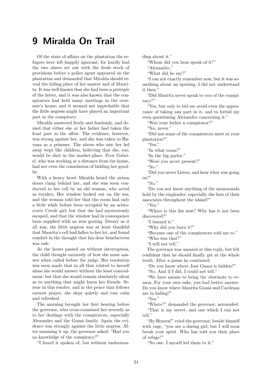#### 9 Miralda On Trail

<span id="page-23-0"></span>Of the state of affairs on the plantation the refugees were left happily ignorant, for hardly had the two slaves set out with the fresh stock of provisions before a police agent appeared on the plantation and demanded that Miralda should reveal the hiding place of her master and of Maurita. It was well known that she had been a protégée of the latter, and it was also known that the conspirators had held many meetings in the overseer's house; and it seemed not improbable that the little negress might have played an important part in the conspiracy.

Miralda answered freely and fearlessly, and denied that either she or her father had taken the least part in the affair. The evidence, however, was strong against her, and she was taken to Havana as a prisoner. The slaves who saw her led away wept like children, believing that she, too, would be shot in the market-place. Poor Gabriel, who was working at a distance from the house, had not even the consolation of bidding her goodby.

With a heavy heart Miralda heard the prison doors clang behind her, and she was soon conducted to her cell by an old woman, who acted as turnkey. Her window looked out on the sea; and the woman told her that the room had only a little while before been occupied by an aristocratic Creole girl; but that she had mysteriously escaped, and that the window had in consequence been supplied with an iron grating. Dreary as it all was, the little negress was at least thankful that Maurita's cell had fallen to her lot, and found comfort in the thought that her dear benefactress was safe.

As the hours passed on without interruption, the child thought earnestly of how she must answer when called before the judge. Her resolution was soon made that in all that related to herself alone she would answer without the least concealment; but that she would remain absolutely silent as to anything that might harm her friends. Serene in this resolve, and in the peace that follows earnest prayer, she slept quietly and rose calm and refreshed.

The morning brought her first hearing before the governor, who cross-examined her severely as to her dealings with the conspirators, especially Alexandro and the Guani family. Again the evidence was strongly against the little negress. After summing it up, the governor asked: "Had you no knowledge of the conspiracy?"

"I heard it spoken of, but without understan-

ding about it."

"Whom did you hear speak of it?"

"Alexandro."

"What did he say?"

"I can not exactly remember now; but it was something about an uprising. I did not understand it then."

"Did Maurita never speak to you of the conspiracy?"

"Yes, but only to bid me avoid even the appearance of taking any part in it, and to forbid my even questioning Alexandro concerning it."

"Was your father a conspirator?"

"No, never."

"Did not some of the conspirators meet at your plantation?"

"Yes."

"In what room?"

"In the big parlor."

"Were you never present?"

"No."

"Did you never Listen, and hear what was going on?"

" $N_0$ ."

"Do you not know anything of the memoranda held by the ringleader, especially the lists of their associates throughout the island?"

"Yes."

"Where is this list now? Why has it not been discovered?"

"I burned it."

"Why did you burn it?"

"Because one of the conspirators told me to."

"Who was that?"

"I will not tell."

The governor was amazed at this reply, but felt confident that he should finally get at the whole truth. After a pause he continued:

"Do you know where José Guani is hidden?"

"No. And if I did, I could not tell."

"We have means to bring the obstinate to reason. For your own sake, you had better answer. Do you know where Maurita Guani and Cardenas are in hiding?"

"Yes."

"Where?" demanded the governor, astounded. "That is my secret, and one which I can not tell<sup>"</sup>

"By Heaven!" cried the governor, beside himself with rage, "you are a daring girl, but I will soon break your spirit. Who has told you their place of refuge?"

"No one. I myself led them to it."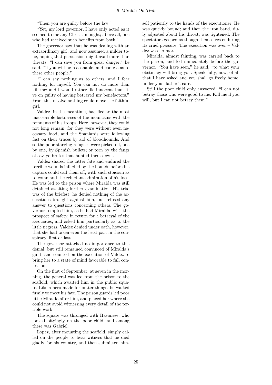"Then you are guilty before the law."

"Yet, my lord governor, I have only acted as it seemed to me any Christian ought; above all, one who had received such benefits from both."

The governor saw that he was dealing with an extraordinary girl, and now assumed a milder tone, hoping that persuasion might avail more than threats: "I can save you from great danger," he said, "if you will be reasonable, and confess as to these other people."

"I can say nothing as to others, and I fear nothing for myself. You can not do more than kill me; and I would rather die innocent than live on guilty of having betrayed my benefactors." From this resolve nothing could move the faithful girl.

Valdez, in the meantime, had fled to the most inaccessible fastnesses of the mountains with the remnants of his troops. Here, however, they could not long remain; for they were without even necessary food, and the Spaniards were following fast on their traces by aid of bloodhounds. And so the poor starving refugees were picked off, one by one, by Spanish bullets; or torn by the fangs of savage brutes that hunted them down.

Valdez shared the latter fate and endured the terrible wounds inflicted by the hounds before his captors could call them off, with such stoicism as to command the reluctant admiration of his foes. He was led to the prison where Miralda was still detained awaiting further examination. His trial was of the briefest; he denied nothing of the accusations brought against him, but refused any answer to questions concerning others. The governor tempted him, as he had Miralda, with the prospect of safety, in return for a betrayal of the associates, and asked him particularly as to the little negress. Valdez denied under oath, however, that she had taken even the least part in the conspiracy, first or last.

The governor attached no importance to this denial, but still remained convinced of Miralda's guilt, and counted on the execution of Valdez to bring her to a state of mind favorable to full confession.

On the first of September, at seven in the morning, the general was led from the prison to the scaffold, which awaited him in the public square. Like a hero made for better things, he walked firmly to meet his fate. The prison guards led poor little Miralda after him, and placed her where she could not avoid witnessing every detail of the terrible work.

The square was thronged with Havanese, who looked pityingly on the poor child, and among these was Gabriel.

Lopez, after mounting the scaffold, simply called on the people to bear witness that he died gladly for his country, and then submitted himself patiently to the hands of the executioner. He was quickly bound; and then the iron band, duly adjusted about his throat, was tightened. The spectators gasped as though themselves enduring its cruel pressure. The execution was over – Valdez was no more.

Miralda, almost fainting, was carried back to the prison, and led immediately before the governor. "You have seen," he said, "to what your obstinacy will bring you. Speak fully, now, of all that I have asked and you shall go freely home, under your father's care."

Still the poor child only answered: "I can not betray those who were good to me. Kill me if you will, but I can not betray them."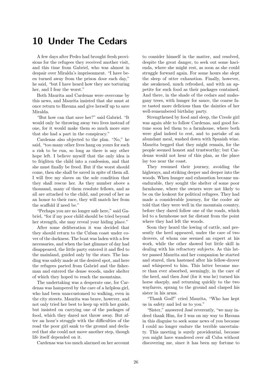#### 10 Under The Cedars

<span id="page-25-0"></span>A few days after Pedro had brought fresh provisions for the refugees they received another visit, and this time from Gabriel, who was almost in despair over Miralda's imprisonment. "I have been turned away from the prison door each day," he said, "but I have heard how they are torturing her, and I fear the worst."

Both Maurita and Cardenas were overcome by this news, and Maurita insisted that she must at once return to Havana and give herself up to save Miralda.

"But how can that save her?" said Gabriel. "It would only be throwing away two lives instead of one, for it would make them so much more sure that she had a part in the conspiracy."

Cardenas also objected to the plan. "No," he said, "too many other lives hang on yours for such a risk to be run, so long as there is any other hope left. I believe myself that the only idea is to frigliten the child into a confession, and that she must finally be freed. But if the worst should come, then she shall be saved in spite of them all. I will free my slaves on the sole condition that they shall rescue her. As they number above a thousand, many of them resolute fellows, and as all are attached to the child, and proud of her as an honor to their race, they will snatch her from the scaffold if need be."

"Perhaps you are no longer safe here," said Gabriel, "for if my poor child should be tried beyond her strength, she may reveal your hiding place."

After some deliberation it was decided that they should return to the Cuban coast under cover of the darkness. The boat was laden with a few necessaries, and when the last glimmer of day had disappeared, the little party entered it and fled to the mainland, guided only by the stars. The landing was safely made at the desired spot, and here the refugees parted from Gabriel and the fisherman and entered the dense woods, under shelter of which they hoped to reach the mountains.

The undertaking was a desperate one, for Cardenas was hampered by the care of a helpless girl, who had been unaccustomed to walking, even in the city streets. Maurita was brave, however, and not only tried her best to keep up with her guide, but insisted on carrying one of the packages of food, which they dared not throw away. But after an hour's struggle with the difficulties of the road the poor girl sank to the ground and declared that she could not move another step, though life itself depended on it.

Cardenas was too much alarmed on her account

to consider himself in the matter, and resolved, despite the great danger, to seek out some hacienda, where she might rest, as soon as she could struggle forward again. For some hours she slept the sleep of utter exhaustion. Finally, however, she awakened, much refreshed, and with an appetite for such food as their packages contained. And there, in the shade of the cedars and mahogany trees, with hunger for sauce, the coarse fare tasted more delicious than the dainties of her well-remembered birthday party.

Strengthened by food and sleep, the Creole girl was again able to follow Cardenas, and good fortune soon led them to a farmhouse, where both were glad indeed to rest, and to partake of an abundant meal, washed down with Spanish wine. Maurita begged that they might remain, for the people seemed honest and trustworthy; but Cardenas would not hear of this plan, as the place lay too near the coast.

They resumed their journey, avoiding the highways, and striking deeper and deeper into the woods. When hunger and exhaustion became unendurable, they sought the shelter of some poor farmhouse, where the owners were not likely to be on the lookout for political refugees. They had made a considerable journey, for the cooler air told that they were well in the mountain country, before they dared follow one of the roads, which led to a farmhouse not far distant from the point where they had left the woods.

Soon they heard the lowing of cattle, and presently the herd appeared, under the care of two drovers, of whom one seemed an expert at his work, while the other showed but little skill in dealing with his refractory subjects. As this latter passed Maurita and her companion he started and stared, then hastened after his fellow-drover and whispered to him. This latter became more than ever absorbed, seemingly, in the care of the herd, and then José (for it was he) turned his horse sharply, and returning quickly to the two wayfarers, sprang to the ground and clasped his sister in his arms.

"Thank God!" cried Maurita, "Who has kept us in safety and led us to you."

"Sister," answered José reverently, "we may indeed thank Him, for I was on my way to Havana in this disguise to seek some news of you because I could no longer endure the terrible uncertainty. This meeting is surely providential, because you might have wandered over all Cuba without discovering me, since it has been my fortune to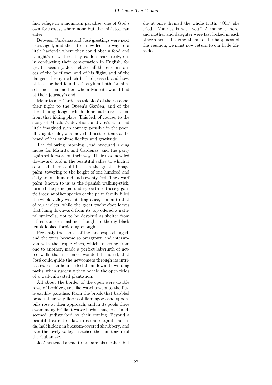find refuge in a mountain paradise, one of God's own fortresses, where none but the initiated can enter."

Between Cardenas and José greetings were next exchanged, and the latter now led the way to a little hacienda where they could obtain food and a night's rest. Here they could speak freely, only conducting their conversation in English, for greater security. José related all the circumstances of the brief war, and of his flight, and of the dangers through which he had passed; and how, at last, he had found safe asylum both for himself and their mother, whom Maurita would find at their journey's end.

Maurita and Cardenas told José of their escape, their flight to the Queen's Garden, and of the threatening danger which alone had driven them from that hiding place. This led, of course, to the story of Miralda's devotion; and José, who had little imagined such courage possible in the poor, ill-taught child, was moved almost to tears as he heard of her sublime fidelity and gratitude.

The following morning José procured riding mules for Maurita and Cardenas, and the party again set forward on their way. Their road now led downward, and in the beautiful valley to which it soon led them could be seen the great cabbage palm, towering to the height of one hundred and sixty to one hundred and seventy feet. The dwarf palm, known to us as the Spanish walking-stick, formed the principal undergrowth to these gigantic trees; another species of the palm family filled the whole valley with its fragrance, similar to that of our violets, while the great twelve-foot leaves that hung downward from its top offered a natural umbrella, not to be despised as shelter from either rain or sunshine, though its thorny black trunk looked forbidding enough.

Presently the aspect of the landscape changed, and the trees became so overgrown and interwoven with the tropic vines, which, reaching from one to another, made a perfect labyrinth of netted walls that it seemed wonderful, indeed, that José could guide the newcomers through its intricacies. For an hour he led them down its winding paths, when suddenly they beheld the open fields of a well-cultivated plantation.

All about the border of the open were double rows of beehives, set like watchtowers to the little earthly paradise. From the brook that babbled beside their way flocks of flamingoes and spoonbills rose at their approach, and in its pools there swam many brilliant water birds, that, less timid, seemed undisturbed by their coming. Beyond a beautiful extent of lawn rose an elegant hacienda, half hidden in blossom-covered shrubbery, and over the lovely valley stretched the sunlit azure of the Cuban sky.

José hastened ahead to prepare his mother, but

she at once divined the whole truth. "Oh," she cried, "Maurita is with you." A moment more, and mother and daughter were fast locked in each other's arms. Leaving them to the happiness of this reunion, we must now return to our little Miralda.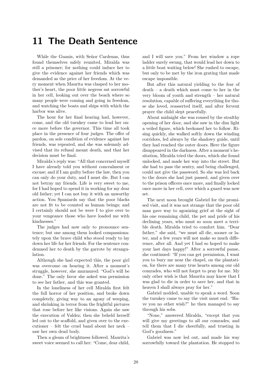#### 11 The Death Sentence

<span id="page-27-0"></span>While the Guanis, with Señor Cardenas, thus found themselves safely reunited, Miralda was still a prisoner; for nothing could induce her to give the evidence against her friends which was demanded as the price of her freedom. At the very moment when Maurita was clasped to her mother's heart, the poor little negress sat sorrowful in her cell, looking out over the beach where so many people were coming and going in freedom, and watching the boats and ships with which the harbor was alive.

The hour for her final hearing had, however, come, and the old turnkey came to lead her once more before the governor. This time all took place in the presence of four judges. The offer of pardon, on sole condition of evidence against her friends, was repeated, and she was solemnly advised that its refusal meant death, and that her decision must be final.

Miralda's reply was: "All that concerned myself I have already told you without concealment or excuse; and if I am guilty before the law, then you can only do your duty, and I must die. But I can not betray my friends. Life is very sweet to me, for I had hoped to spend it in working for my dear old father; yet I can not buy it with an unworthy action. You Spaniards say that the poor blacks are not fit to be counted as human beings; and I certainly should not be were I to give over to your vengeance those who have loaded me with kindnesses."

The judges had now only to pronounce sentence; but one among them looked compassionately upon the brave child who stood ready to lay down her life for her friends. For the sentence condemned her to death by the garrote by strangulation.

Although she had expected this, the poor girl was overcome on hearing it. After a moment's struggle, however, she murmured: "God's will be done." The only favor she asked was permission to see her father, and this was granted.

In the loneliness of her cell Miralda first felt the full horror of her position, and broke down completely, giving way to an agony of weeping, and shrinking in terror from the frightful pictures that rose before her like visions. Again she saw the execution of Valdez; then she beheld herself led out to the scaffold, and given over to the executioner – felt the cruel band about her neck – saw her own dead body.

Then a gleam of brightness followed. Maurita's sweet voice seemed to call her: "Come, dear child, and I will save you." From her window a rope ladder surely swung, that would lead her down to a little boat waiting below! She rushed to escape, but only to be met by the iron grating that made escape impossible.

But after this natural yielding to the fear of death – a death which must come to her in the very bloom of youth and strength – her natural resolution, capable of suffering everything for those she loved, reasserted itself, and after fervent prayer the child slept peacefully.

About midnight she was roused by the stealthy opening of her door, and she saw in the dim light a veiled figure, which beckoned her to follow. Rising quickly, she walked softly down the winding corridors, led always by the shadowy guide, until they had reached the outer doors. Here the figure disappeared in the darkness. After a moment's hesitation, Miralda tried the doors, which she found unlocked, and made her way into the street. But she had to pass the sentry, and being challenged, could not give the password. So she was led back to the doors she had just passed, and given over to the prison officers once more, and finally locked once more in her cell, over which a guard was now set.

The next noon brought Gabriel for the promised visit, and it was not strange that the poor old man gave way to agonizing grief at the sight of his one remaining child, the pet and pride of his declining years, who must so soon meet a terrible death. Miralda tried to comfort him. "Dear father," she said, "we must all die, sooner or later, and a few years will not make so much difference, after all. And yet I had so hoped to make your last days happy!" After a sorrowful pause, she continued: "If you can get permission, I want you to bury me near the chapel, on the plantation, for there are many true hearts among our old comrades, who will not forget to pray for me. My only other wish is that Maurita may know that I was glad to die in order to save her, and that in heaven I shall always pray for her."

Gabriel nodded, unable to speak a word. Soon the turnkey came to say the visit must end. "Have you no other wish?" he then managed to say through his sobs.

"None," answered Miralda, "except that you will give my greetings to all our comrades, and tell them that I die cheerfully, and trusting in God's goodness."

Gabriel was now led out, and made his way sorrowfully toward the plantation. He stopped to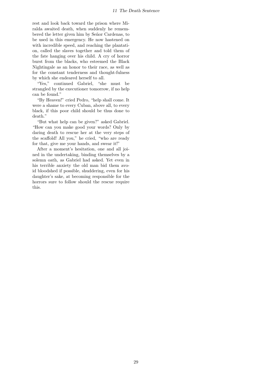rest and look back toward the prison where Miralda awaited death, when suddenly he remembered the letter given him by Señor Cardenas, to be used in this emergency. He now hastened on with incredible speed, and reaching the plantation, called the slaves together and told them of the fate hanging over his child. A cry of horror burst from the blacks, who esteemed the Black Nightingale as an honor to their race, as well as for the constant tenderness and thought-fulness by which she endeared herself to all.

"Yes," continued Gabriel, "she must be strangled by the executioner tomorrow, if no help can be found."

"By Heaven!" cried Pedro, "help shall come. It were a shame to every Cuban, above all, to every black, if this poor child should be thus done to death."

"But what help can be given?" asked Gabriel. "How can you make good your words? Only by daring death to rescue her at the very steps of the scaffold! All you," he cried, "who are ready for that, give me your hands, and swear it!"

After a moment's hesitation, one and all joined in the undertaking, binding themselves by a solemn oath, as Gabriel had asked. Yet even in his terrible anxiety the old man bid them avoid bloodshed if possible, shuddering, even for his daughter's sake, at becoming responsible for the horrors sure to follow should the rescue require this.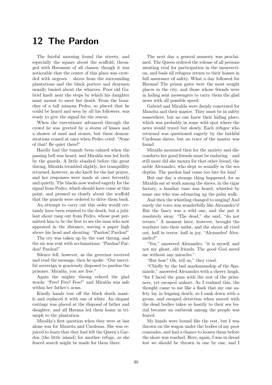# 12 The Pardon

<span id="page-29-0"></span>The fateful morning found the streets, and especially the square about the scaffold, thronged with Havanese of all classes; though it was noticeable that the center of this place was crowded with negroes – slaves from the surrounding plantations and the black porters and draymen usually busied about the wharves. Poor old Gabriel knelt near the steps by which his daughter must mount to meet her death. From the branches of a tall mimosa Pedro, so placed that he could be heard and seen by all his followers, was ready to give the signal for the rescue.

When the executioner advanced through the crowd he was greeted by a storm of hisses and a shower of mud and stones, but these demonstrations ceased at once when Pedro cried: "None of that! Be quiet there!"

Hardly had the tumult been calmed when the passing bell was heard, and Miralda was led forth by the guards. A little abashed before the great throng, Miralda trembled slightly; her tranquillity returned, however, as she knelt for the last prayer, and her responses were made at once fervently and quietly. The blacks now waited eagerly for the signal from Pedro, which should have come at this point, and pressed so closely about the scaffold that the guards were ordered to drive them back.

An attempt to carry out this order would certainly have been resisted to the death, but a jubilant shout rang out from Pedro, whose post permitted him to be the first to see the man who now appeared in the distance, waving a paper high above his head and shouting: "Pardon! Pardon!"

The cry was taken up by the vast throng, and the air was rent with acclamations: "Pardon! Pardon! Pardon!"

Silence fell, however, as the governor received and read the message, then he spoke: "Our merciful sovereign is graciously disposed to pardon the prisoner. Miralda, you are free."

Again the mighty throng echoed the glad words: "Free! Free! Free!" and Miralda was safe within her father's arms.

Kindly hands tore off the black death mantle and replaced it with one of white. An elegant carriage was placed at the disposal of father and daughter, and all Havana led them home in triumph to the plantation.

Miralda's first question when they were at last alone was for Maurita and Cardenas. She was rejoiced to learn that they had left the Queen's Garden (the little island) for another refuge, as she feared search might be made for them there.

The next day a general amnesty was proclaimed. The Queen ordered the release of all persons awaiting trial for participation in the insurrection, and bade all refugees return to their homes in full assurance of safety. What a day followed for Havana! The prison gates were the most sought places in the city, and those whose friends were in hiding sent messengers to carry them the glad news with all possible speed.

Gabriel and Miralda were deeply concerned for Maurita and their master. They must be in safety somewhere, but no one knew their hiding place, which was probably in some wild spot where the news would travel but slowly. Each refugee who returned was questioned eagerly by the faithful Cardenas slaves, but no trace of the master was found.

Miralda mourned then for the anxiety and discomforts her good friends must be enduring – and still more did she mourn for that other friend, the noble Alexandro, who slept so soundly in the sea depths. The pardon had come too late for him!

But one day a strange thing happened, for as Miralda sat at work among the slaves, in the cigar factory, a familiar tune was heard, whistled by some one who was advancing up the palm walk.

And then the whistling changed to singing! And surely the voice was wonderfully like Alexandro's! But the fancy was a wild one, and she put it resolutely away. "The dead," she said, "do not return." A moment later, however, brought the wayfarer into their midst, and the slaves all cried out, half in terror, half in joy, "Alexandro! Alexandro!"

"Yes," answered Alexandro, "it is myself, and not my ghost, old friends. The good God saved me without any miracles."

"But how? Oh, tell us," they cried.

"Chiefly by the bad marksmanship of the Spaniards," answered Alexandro with a cheery laugh, "for I faced the guns with the rest of the prisoners, yet escaped unhurt. As I realized this, the thought came to me like a flash that my one safety lay in feigning death; so I sank down with a groan, and escaped detection when moved with the dead bodies taken so hastily to their sea burial because an outbreak among the people was feared.

My hands were bound like the rest, but I was thrown on the wagon under the bodies of my poor comrades, and had a chance to loosen them before the shore was reached. Here, again, I was in dread lest we should be thrown in one by one, and I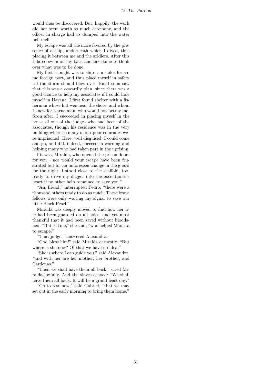would thus be discovered. But, happily, the work did not seem worth so much ceremony, and the officer in charge had us dumped into the water pell mell.

My escape was all the more favored by the presence of a ship, underneath which I dived, thus placing it between me and the soldiers. After this I dared swim on my back and take time to think over what was to be done.

My first thought was to ship as a sailor for some foreign port, and thus place myself in safety till the storm should blow over. But I soon saw that this was a cowardly plan, since there was a good chance to help my associates if I could hide myself in Havana. I first found shelter with a fisherman whose hut was near the shore, and whom I knew for a true man, who would not betray me. Soon after, I succeeded in placing myself in the house of one of the judges who had been of the associates, though his residence was in the very building where so many of our poor comrades were imprisoned. Here, well disguised, I could come and go, and did, indeed, succeed in warning and helping many who had taken part in the uprising.

I it was, Miralda, who opened the prison doors for you – nor would your escape have been frustrated but for an unforeseen change in the guard for the night. I stood close to the scaffold, too, ready to drive my dagger into the executioner's heart if no other help remained to save you."

"Ah, friend," interrupted Pedro, "there were a thousand others ready to do as much. These brave fellows were only waiting my signal to save our little Black Pearl."

Miralda was deeply moved to find how her life had been guarded on all sides, and yet most thankful that it had been saved without bloodshed. "But tell me," she said, "who helped Maurita to escape?"

"That judge," answered Alexandra.

"God bless him!" said Miralda earnestly. "But where is she now? Of that we have no idea."

"She is where I can guide you," said Alexandro, "and with her are her mother, her brother, and Cardenas."

"Then we shall have them all back," cried Miralda joyfully. And the slaves echoed: "We shall have them all back. It will be a grand feast day."

"Go to rest now," said Gabriel, "that we may set out in the early morning to bring them home."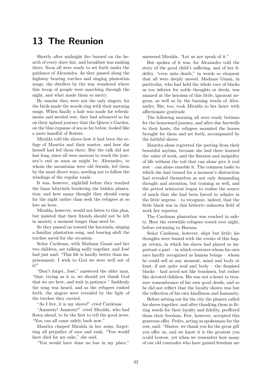# 13 The Reunion

<span id="page-31-0"></span>Shortly after midnight fire burned on the hearth of every slave hut, and breakfast was making there. Soon all were ready to set forth under the guidance of Alexandra. As they passed along the highway bearing torches and singing plantation songs, the dwellers by the way wondered where this troop of people were marching through the night, and what made them so merry.

By sunrise they were not the only singers, for the birds made the woods ring with their morning songs. When finally a halt was made for refreshments and needed rest, they had advanced so far on their upland journey that the Queen's Garden, on the blue expanse of sea so far below, looked like a mere handful of flowers.

Miralda told the slaves how it had been the refuge of Maurita and their master, and how she herself had led them there. But the talk did not last long, since all were anxious to reach the journey's end as soon as might be. Alexandro, to whom the mountains were old friends, led them by the most direct ways, needing not to follow the windings of the regular roads.

It was, however, nightfall before they reached the liana labyrinth bordering the hidden plantation; and here many thought they should camp for the night rather than seek the refugees at so late an hour.

Miralda, however, would not listen to this plan, but insisted that their friends should not be left in anxiety a moment longer than need be.

So they passed on toward the hacienda, singing a familiar plantation song, and bearing aloft the torches saved for the occasion.

Señor Cardenas, with Madame Guani and her two children, sat talking sadly together, and José had just said: "This life is hardly better than imprisonment. I wish to God we were well out of it!"

"Don't forget, José," answered the older man, "that, trying as it is, we should yet thank God that we are here, and wait in patience." Suddenly the song was heard, and as the refugees rushed forth, the singers were revealed by the light of the torches they carried.

"As I live, it is my slaves!" cried Cardenas.

"Amnesty! Amnesty!" cried Miralda, who had flown ahead, to be the first to tell the good news. "You can all come safely back now."

Maurita clasped Miralda in her arms, forgetting all prejudice of race and rank. "You would have died for my sake," she said.

"You would have done no less in my place,"

answered Miralda. "Let us not speak of it."

But spoken of it was, for Alexandro told the story of the good child's suffering, and of her fidelity, "even unto death," in words so eloquent that all were deeply moved. Madame Guani, in particular, who had held the whole race of blacks as too inferior for noble thoughts or deeds, was amazed at the heroism of this little, ignorant negress, as well as by the burning words of Alexandro. She, too, took Miralda to her heart with affectionate gratitude.

The following morning all were ready betimes for the homeward journey, and after due farewells to their hosts, the refugees mounted the horses brought for them and set forth, accompanied by the faithful slaves.

Maurita alone regretted the parting from their beautiful asylum, because she had there learned the value of work, and the flatness and insipidity of life without the toil that can alone give it real zest – can alone ennoble it. The common tasks to which she had turned for a moment's distraction had revealed themselves as not only demanding thought and attention, but training as well, and the petted aristocrat began to realize the source of much that she had been forced to admire in the little negress – to recognize, indeed, that the little black was in this hitherto unknown field of work her superior.

The Cardenas plantation was reached in safety. Here the erstwhile refugees rested over night, before returning to Havana.

Señor Cardenas, however, slept but little; his thoughts were busied with the events of this happy return, in which his slaves had played so important a part – in which creatures whom his own race hardly recognized as human beings – whom he could sell at any moment, mind and body at least, if not quite soul and body – the despised blacks – had acted not like bondmen, but rather like devoted children. His was not a heart to treasure remembrance of his own good deeds, and so he did not reflect that the loyalty shown was but the reflection of his own kindliness and humanity.

Before setting out for the city the planter called his slaves together, and after thanking them in fitting words for their loyalty and fidelity, proffered them their freedom. Few, however, accepted this generous offer. Pedro, acting as spokesman for the rest, said: "Master, we thank you for the great gift you offer us, and we know it is the greatest you could bestow, yet when we remember how many of our old comrades who have gained freedom are